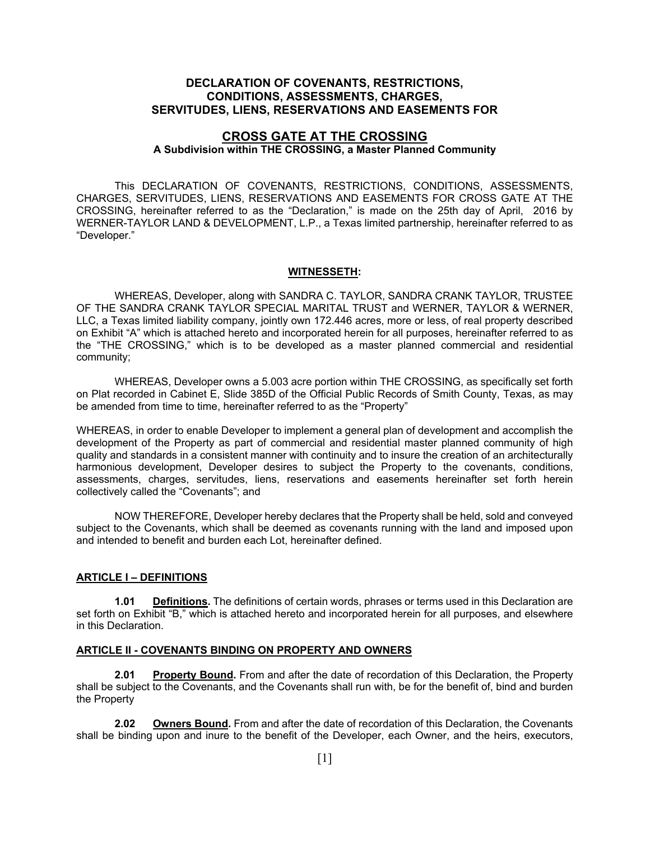# **DECLARATION OF COVENANTS, RESTRICTIONS, CONDITIONS, ASSESSMENTS, CHARGES, SERVITUDES, LIENS, RESERVATIONS AND EASEMENTS FOR**

## **CROSS GATE AT THE CROSSING A Subdivision within THE CROSSING, a Master Planned Community**

 This DECLARATION OF COVENANTS, RESTRICTIONS, CONDITIONS, ASSESSMENTS, CHARGES, SERVITUDES, LIENS, RESERVATIONS AND EASEMENTS FOR CROSS GATE AT THE CROSSING, hereinafter referred to as the "Declaration," is made on the 25th day of April, 2016 by WERNER-TAYLOR LAND & DEVELOPMENT, L.P., a Texas limited partnership, hereinafter referred to as "Developer."

#### **WITNESSETH:**

 WHEREAS, Developer, along with SANDRA C. TAYLOR, SANDRA CRANK TAYLOR, TRUSTEE OF THE SANDRA CRANK TAYLOR SPECIAL MARITAL TRUST and WERNER, TAYLOR & WERNER, LLC, a Texas limited liability company, jointly own 172.446 acres, more or less, of real property described on Exhibit "A" which is attached hereto and incorporated herein for all purposes, hereinafter referred to as the "THE CROSSING," which is to be developed as a master planned commercial and residential community;

 WHEREAS, Developer owns a 5.003 acre portion within THE CROSSING, as specifically set forth on Plat recorded in Cabinet E, Slide 385D of the Official Public Records of Smith County, Texas, as may be amended from time to time, hereinafter referred to as the "Property"

WHEREAS, in order to enable Developer to implement a general plan of development and accomplish the development of the Property as part of commercial and residential master planned community of high quality and standards in a consistent manner with continuity and to insure the creation of an architecturally harmonious development, Developer desires to subject the Property to the covenants, conditions, assessments, charges, servitudes, liens, reservations and easements hereinafter set forth herein collectively called the "Covenants"; and

 NOW THEREFORE, Developer hereby declares that the Property shall be held, sold and conveyed subject to the Covenants, which shall be deemed as covenants running with the land and imposed upon and intended to benefit and burden each Lot, hereinafter defined.

#### **ARTICLE I – DEFINITIONS**

**1.01 Definitions.** The definitions of certain words, phrases or terms used in this Declaration are set forth on Exhibit "B," which is attached hereto and incorporated herein for all purposes, and elsewhere in this Declaration.

#### **ARTICLE II - COVENANTS BINDING ON PROPERTY AND OWNERS**

**2.01 Property Bound.** From and after the date of recordation of this Declaration, the Property shall be subject to the Covenants, and the Covenants shall run with, be for the benefit of, bind and burden the Property

**2.02 Owners Bound.** From and after the date of recordation of this Declaration, the Covenants shall be binding upon and inure to the benefit of the Developer, each Owner, and the heirs, executors,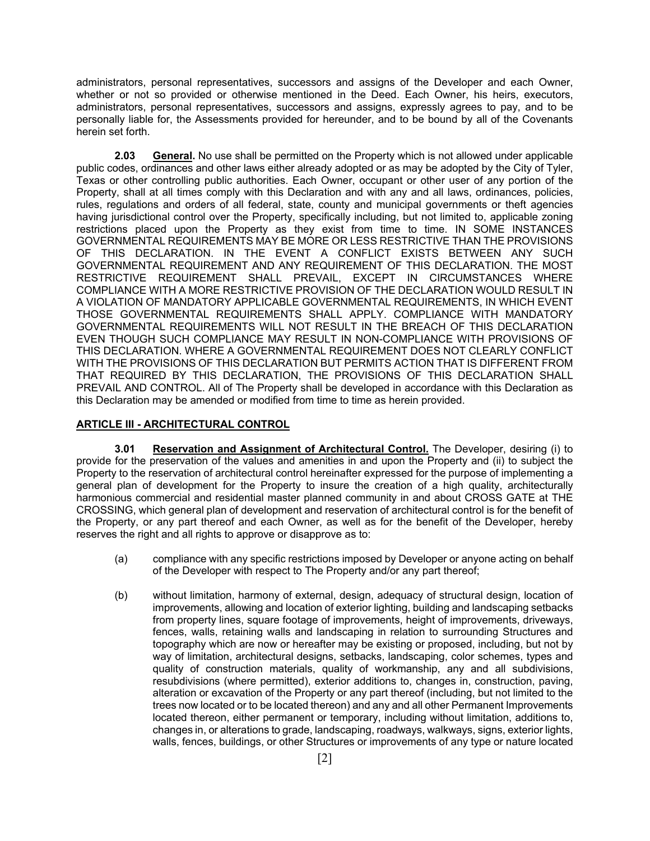administrators, personal representatives, successors and assigns of the Developer and each Owner, whether or not so provided or otherwise mentioned in the Deed. Each Owner, his heirs, executors, administrators, personal representatives, successors and assigns, expressly agrees to pay, and to be personally liable for, the Assessments provided for hereunder, and to be bound by all of the Covenants herein set forth.

**2.03 General.** No use shall be permitted on the Property which is not allowed under applicable public codes, ordinances and other laws either already adopted or as may be adopted by the City of Tyler, Texas or other controlling public authorities. Each Owner, occupant or other user of any portion of the Property, shall at all times comply with this Declaration and with any and all laws, ordinances, policies, rules, regulations and orders of all federal, state, county and municipal governments or theft agencies having jurisdictional control over the Property, specifically including, but not limited to, applicable zoning restrictions placed upon the Property as they exist from time to time. IN SOME INSTANCES GOVERNMENTAL REQUIREMENTS MAY BE MORE OR LESS RESTRICTIVE THAN THE PROVISIONS OF THIS DECLARATION. IN THE EVENT A CONFLICT EXISTS BETWEEN ANY SUCH GOVERNMENTAL REQUIREMENT AND ANY REQUIREMENT OF THIS DECLARATION. THE MOST RESTRICTIVE REQUIREMENT SHALL PREVAIL, EXCEPT IN CIRCUMSTANCES WHERE COMPLIANCE WITH A MORE RESTRICTIVE PROVISION OF THE DECLARATION WOULD RESULT IN A VIOLATION OF MANDATORY APPLICABLE GOVERNMENTAL REQUIREMENTS, IN WHICH EVENT THOSE GOVERNMENTAL REQUIREMENTS SHALL APPLY. COMPLIANCE WITH MANDATORY GOVERNMENTAL REQUIREMENTS WILL NOT RESULT IN THE BREACH OF THIS DECLARATION EVEN THOUGH SUCH COMPLIANCE MAY RESULT IN NON-COMPLIANCE WITH PROVISIONS OF THIS DECLARATION. WHERE A GOVERNMENTAL REQUIREMENT DOES NOT CLEARLY CONFLICT WITH THE PROVISIONS OF THIS DECLARATION BUT PERMITS ACTION THAT IS DIFFERENT FROM THAT REQUIRED BY THIS DECLARATION, THE PROVISIONS OF THIS DECLARATION SHALL PREVAIL AND CONTROL. All of The Property shall be developed in accordance with this Declaration as this Declaration may be amended or modified from time to time as herein provided.

#### **ARTICLE III - ARCHITECTURAL CONTROL**

**3.01 Reservation and Assignment of Architectural Control.** The Developer, desiring (i) to provide for the preservation of the values and amenities in and upon the Property and (ii) to subject the Property to the reservation of architectural control hereinafter expressed for the purpose of implementing a general plan of development for the Property to insure the creation of a high quality, architecturally harmonious commercial and residential master planned community in and about CROSS GATE at THE CROSSING, which general plan of development and reservation of architectural control is for the benefit of the Property, or any part thereof and each Owner, as well as for the benefit of the Developer, hereby reserves the right and all rights to approve or disapprove as to:

- (a) compliance with any specific restrictions imposed by Developer or anyone acting on behalf of the Developer with respect to The Property and/or any part thereof;
- (b) without limitation, harmony of external, design, adequacy of structural design, location of improvements, allowing and location of exterior lighting, building and landscaping setbacks from property lines, square footage of improvements, height of improvements, driveways, fences, walls, retaining walls and landscaping in relation to surrounding Structures and topography which are now or hereafter may be existing or proposed, including, but not by way of limitation, architectural designs, setbacks, landscaping, color schemes, types and quality of construction materials, quality of workmanship, any and all subdivisions, resubdivisions (where permitted), exterior additions to, changes in, construction, paving, alteration or excavation of the Property or any part thereof (including, but not limited to the trees now located or to be located thereon) and any and all other Permanent Improvements located thereon, either permanent or temporary, including without limitation, additions to, changes in, or alterations to grade, landscaping, roadways, walkways, signs, exterior lights, walls, fences, buildings, or other Structures or improvements of any type or nature located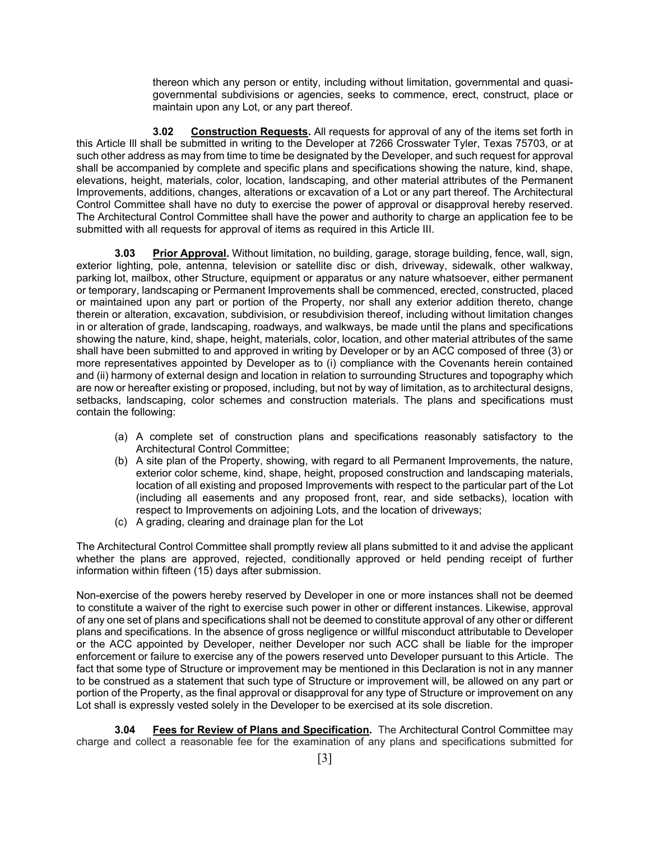thereon which any person or entity, including without limitation, governmental and quasigovernmental subdivisions or agencies, seeks to commence, erect, construct, place or maintain upon any Lot, or any part thereof.

 **3.02 Construction Requests.** All requests for approval of any of the items set forth in this Article Ill shall be submitted in writing to the Developer at 7266 Crosswater Tyler, Texas 75703, or at such other address as may from time to time be designated by the Developer, and such request for approval shall be accompanied by complete and specific plans and specifications showing the nature, kind, shape, elevations, height, materials, color, location, landscaping, and other material attributes of the Permanent Improvements, additions, changes, alterations or excavation of a Lot or any part thereof. The Architectural Control Committee shall have no duty to exercise the power of approval or disapproval hereby reserved. The Architectural Control Committee shall have the power and authority to charge an application fee to be submitted with all requests for approval of items as required in this Article III.

**3.03 Prior Approval.** Without limitation, no building, garage, storage building, fence, wall, sign, exterior lighting, pole, antenna, television or satellite disc or dish, driveway, sidewalk, other walkway, parking lot, mailbox, other Structure, equipment or apparatus or any nature whatsoever, either permanent or temporary, landscaping or Permanent Improvements shall be commenced, erected, constructed, placed or maintained upon any part or portion of the Property, nor shall any exterior addition thereto, change therein or alteration, excavation, subdivision, or resubdivision thereof, including without limitation changes in or alteration of grade, landscaping, roadways, and walkways, be made until the plans and specifications showing the nature, kind, shape, height, materials, color, location, and other material attributes of the same shall have been submitted to and approved in writing by Developer or by an ACC composed of three (3) or more representatives appointed by Developer as to (i) compliance with the Covenants herein contained and (ii) harmony of external design and location in relation to surrounding Structures and topography which are now or hereafter existing or proposed, including, but not by way of limitation, as to architectural designs, setbacks, landscaping, color schemes and construction materials. The plans and specifications must contain the following:

- (a) A complete set of construction plans and specifications reasonably satisfactory to the Architectural Control Committee;
- (b) A site plan of the Property, showing, with regard to all Permanent Improvements, the nature, exterior color scheme, kind, shape, height, proposed construction and landscaping materials, location of all existing and proposed Improvements with respect to the particular part of the Lot (including all easements and any proposed front, rear, and side setbacks), location with respect to Improvements on adjoining Lots, and the location of driveways;
- (c) A grading, clearing and drainage plan for the Lot

The Architectural Control Committee shall promptly review all plans submitted to it and advise the applicant whether the plans are approved, rejected, conditionally approved or held pending receipt of further information within fifteen (15) days after submission.

Non-exercise of the powers hereby reserved by Developer in one or more instances shall not be deemed to constitute a waiver of the right to exercise such power in other or different instances. Likewise, approval of any one set of plans and specifications shall not be deemed to constitute approval of any other or different plans and specifications. In the absence of gross negligence or willful misconduct attributable to Developer or the ACC appointed by Developer, neither Developer nor such ACC shall be liable for the improper enforcement or failure to exercise any of the powers reserved unto Developer pursuant to this Article. The fact that some type of Structure or improvement may be mentioned in this Declaration is not in any manner to be construed as a statement that such type of Structure or improvement will, be allowed on any part or portion of the Property, as the final approval or disapproval for any type of Structure or improvement on any Lot shall is expressly vested solely in the Developer to be exercised at its sole discretion.

**3.04 Fees for Review of Plans and Specification.** The Architectural Control Committee may charge and collect a reasonable fee for the examination of any plans and specifications submitted for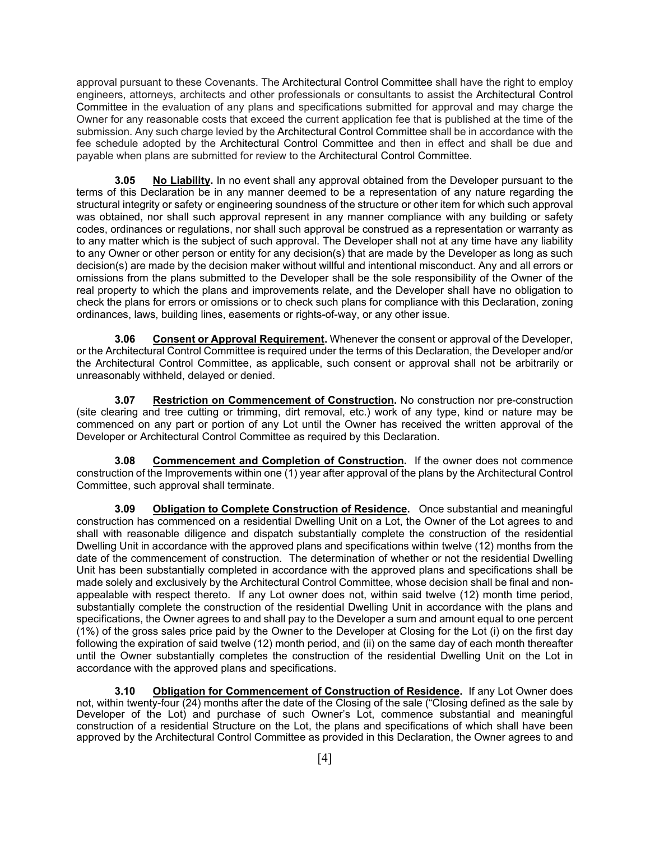approval pursuant to these Covenants. The Architectural Control Committee shall have the right to employ engineers, attorneys, architects and other professionals or consultants to assist the Architectural Control Committee in the evaluation of any plans and specifications submitted for approval and may charge the Owner for any reasonable costs that exceed the current application fee that is published at the time of the submission. Any such charge levied by the Architectural Control Committee shall be in accordance with the fee schedule adopted by the Architectural Control Committee and then in effect and shall be due and payable when plans are submitted for review to the Architectural Control Committee.

**3.05 No Liability.** In no event shall any approval obtained from the Developer pursuant to the terms of this Declaration be in any manner deemed to be a representation of any nature regarding the structural integrity or safety or engineering soundness of the structure or other item for which such approval was obtained, nor shall such approval represent in any manner compliance with any building or safety codes, ordinances or regulations, nor shall such approval be construed as a representation or warranty as to any matter which is the subject of such approval. The Developer shall not at any time have any liability to any Owner or other person or entity for any decision(s) that are made by the Developer as long as such decision(s) are made by the decision maker without willful and intentional misconduct. Any and all errors or omissions from the plans submitted to the Developer shall be the sole responsibility of the Owner of the real property to which the plans and improvements relate, and the Developer shall have no obligation to check the plans for errors or omissions or to check such plans for compliance with this Declaration, zoning ordinances, laws, building lines, easements or rights-of-way, or any other issue.

**3.06 Consent or Approval Requirement.** Whenever the consent or approval of the Developer, or the Architectural Control Committee is required under the terms of this Declaration, the Developer and/or the Architectural Control Committee, as applicable, such consent or approval shall not be arbitrarily or unreasonably withheld, delayed or denied.

**3.07 Restriction on Commencement of Construction.** No construction nor pre-construction (site clearing and tree cutting or trimming, dirt removal, etc.) work of any type, kind or nature may be commenced on any part or portion of any Lot until the Owner has received the written approval of the Developer or Architectural Control Committee as required by this Declaration.

**3.08 Commencement and Completion of Construction.** If the owner does not commence construction of the Improvements within one (1) year after approval of the plans by the Architectural Control Committee, such approval shall terminate.

**3.09 Obligation to Complete Construction of Residence.** Once substantial and meaningful construction has commenced on a residential Dwelling Unit on a Lot, the Owner of the Lot agrees to and shall with reasonable diligence and dispatch substantially complete the construction of the residential Dwelling Unit in accordance with the approved plans and specifications within twelve (12) months from the date of the commencement of construction. The determination of whether or not the residential Dwelling Unit has been substantially completed in accordance with the approved plans and specifications shall be made solely and exclusively by the Architectural Control Committee, whose decision shall be final and nonappealable with respect thereto. If any Lot owner does not, within said twelve (12) month time period, substantially complete the construction of the residential Dwelling Unit in accordance with the plans and specifications, the Owner agrees to and shall pay to the Developer a sum and amount equal to one percent (1%) of the gross sales price paid by the Owner to the Developer at Closing for the Lot (i) on the first day following the expiration of said twelve (12) month period, and (ii) on the same day of each month thereafter until the Owner substantially completes the construction of the residential Dwelling Unit on the Lot in accordance with the approved plans and specifications.

**3.10 Obligation for Commencement of Construction of Residence.** If any Lot Owner does not, within twenty-four (24) months after the date of the Closing of the sale ("Closing defined as the sale by Developer of the Lot) and purchase of such Owner's Lot, commence substantial and meaningful construction of a residential Structure on the Lot, the plans and specifications of which shall have been approved by the Architectural Control Committee as provided in this Declaration, the Owner agrees to and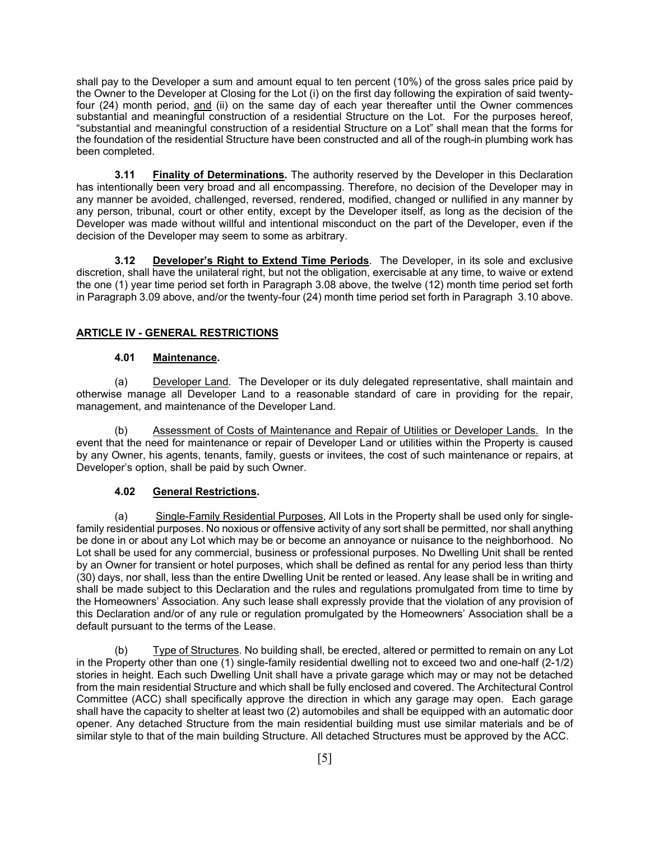shall pay to the Developer a sum and amount equal to ten percent (10%) of the gross sales price paid by the Owner to the Developer at Closing for the Lot (i) on the first day following the expiration of said twentyfour (24) month period, and (ii) on the same day of each year thereafter until the Owner commences substantial and meaningful construction of a residential Structure on the Lot. For the purposes hereof, "substantial and meaningful construction of a residential Structure on a Lot" shall mean that the forms for the foundation of the residential Structure have been constructed and all of the rough-in plumbing work has been completed.

**3.11 Finality of Determinations.** The authority reserved by the Developer in this Declaration has intentionally been very broad and all encompassing. Therefore, no decision of the Developer may in any manner be avoided, challenged, reversed, rendered, modified, changed or nullified in any manner by any person, tribunal, court or other entity, except by the Developer itself, as long as the decision of the Developer was made without willful and intentional misconduct on the part of the Developer, even if the decision of the Developer may seem to some as arbitrary.

**3.12 Developer's Right to Extend Time Periods**. The Developer, in its sole and exclusive discretion, shall have the unilateral right, but not the obligation, exercisable at any time, to waive or extend the one (1) year time period set forth in Paragraph 3.08 above, the twelve (12) month time period set forth in Paragraph 3.09 above, and/or the twenty-four (24) month time period set forth in Paragraph 3.10 above.

# **ARTICLE IV - GENERAL RESTRICTIONS**

## **4.01 Maintenance.**

 (a) Developer Land. The Developer or its duly delegated representative, shall maintain and otherwise manage all Developer Land to a reasonable standard of care in providing for the repair, management, and maintenance of the Developer Land.

 (b) Assessment of Costs of Maintenance and Repair of Utilities or Developer Lands. In the event that the need for maintenance or repair of Developer Land or utilities within the Property is caused by any Owner, his agents, tenants, family, guests or invitees, the cost of such maintenance or repairs, at Developer's option, shall be paid by such Owner.

### **4.02 General Restrictions.**

 (a) Single-Family Residential Purposes, All Lots in the Property shall be used only for singlefamily residential purposes. No noxious or offensive activity of any sort shall be permitted, nor shall anything be done in or about any Lot which may be or become an annoyance or nuisance to the neighborhood. No Lot shall be used for any commercial, business or professional purposes. No Dwelling Unit shall be rented by an Owner for transient or hotel purposes, which shall be defined as rental for any period less than thirty (30) days, nor shall, less than the entire Dwelling Unit be rented or leased. Any lease shall be in writing and shall be made subject to this Declaration and the rules and regulations promulgated from time to time by the Homeowners' Association. Any such lease shall expressly provide that the violation of any provision of this Declaration and/or of any rule or regulation promulgated by the Homeowners' Association shall be a default pursuant to the terms of the Lease.

 (b) Type of Structures. No building shall, be erected, altered or permitted to remain on any Lot in the Property other than one (1) single-family residential dwelling not to exceed two and one-half (2-1/2) stories in height. Each such Dwelling Unit shall have a private garage which may or may not be detached from the main residential Structure and which shall be fully enclosed and covered. The Architectural Control Committee (ACC) shall specifically approve the direction in which any garage may open. Each garage shall have the capacity to shelter at least two (2) automobiles and shall be equipped with an automatic door opener. Any detached Structure from the main residential building must use similar materials and be of similar style to that of the main building Structure. All detached Structures must be approved by the ACC.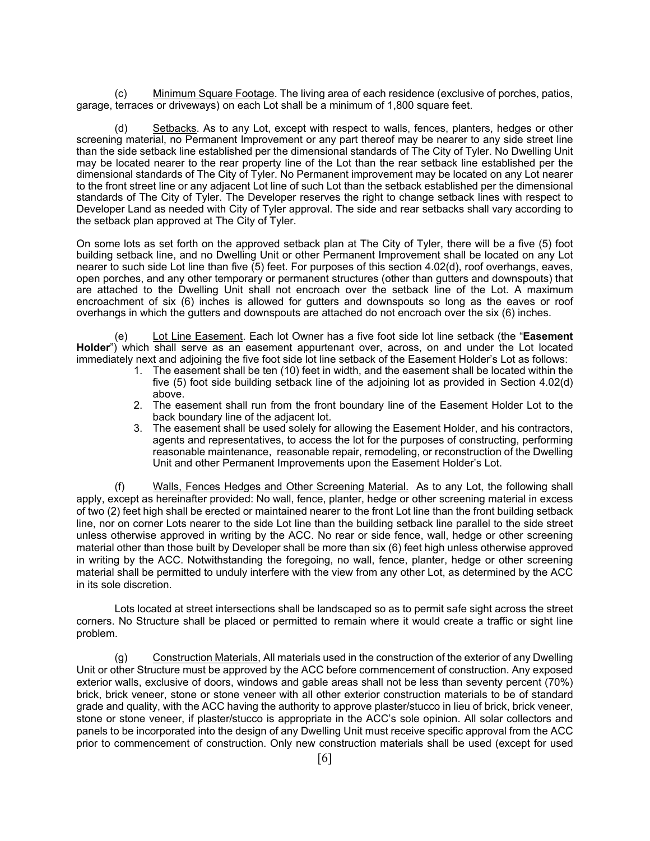(c) Minimum Square Footage. The living area of each residence (exclusive of porches, patios, garage, terraces or driveways) on each Lot shall be a minimum of 1,800 square feet.

Setbacks. As to any Lot, except with respect to walls, fences, planters, hedges or other screening material, no Permanent Improvement or any part thereof may be nearer to any side street line than the side setback line established per the dimensional standards of The City of Tyler. No Dwelling Unit may be located nearer to the rear property line of the Lot than the rear setback line established per the dimensional standards of The City of Tyler. No Permanent improvement may be located on any Lot nearer to the front street line or any adjacent Lot line of such Lot than the setback established per the dimensional standards of The City of Tyler. The Developer reserves the right to change setback lines with respect to Developer Land as needed with City of Tyler approval. The side and rear setbacks shall vary according to the setback plan approved at The City of Tyler.

On some lots as set forth on the approved setback plan at The City of Tyler, there will be a five (5) foot building setback line, and no Dwelling Unit or other Permanent Improvement shall be located on any Lot nearer to such side Lot line than five (5) feet. For purposes of this section 4.02(d), roof overhangs, eaves, open porches, and any other temporary or permanent structures (other than gutters and downspouts) that are attached to the Dwelling Unit shall not encroach over the setback line of the Lot. A maximum encroachment of six (6) inches is allowed for gutters and downspouts so long as the eaves or roof overhangs in which the gutters and downspouts are attached do not encroach over the six (6) inches.

(e) Lot Line Easement. Each lot Owner has a five foot side lot line setback (the "**Easement Holder**") which shall serve as an easement appurtenant over, across, on and under the Lot located immediately next and adjoining the five foot side lot line setback of the Easement Holder's Lot as follows:

- 1. The easement shall be ten (10) feet in width, and the easement shall be located within the five (5) foot side building setback line of the adjoining lot as provided in Section 4.02(d) above.
- 2. The easement shall run from the front boundary line of the Easement Holder Lot to the back boundary line of the adjacent lot.
- 3. The easement shall be used solely for allowing the Easement Holder, and his contractors, agents and representatives, to access the lot for the purposes of constructing, performing reasonable maintenance, reasonable repair, remodeling, or reconstruction of the Dwelling Unit and other Permanent Improvements upon the Easement Holder's Lot.

(f) Walls, Fences Hedges and Other Screening Material. As to any Lot, the following shall apply, except as hereinafter provided: No wall, fence, planter, hedge or other screening material in excess of two (2) feet high shall be erected or maintained nearer to the front Lot line than the front building setback line, nor on corner Lots nearer to the side Lot line than the building setback line parallel to the side street unless otherwise approved in writing by the ACC. No rear or side fence, wall, hedge or other screening material other than those built by Developer shall be more than six (6) feet high unless otherwise approved in writing by the ACC. Notwithstanding the foregoing, no wall, fence, planter, hedge or other screening material shall be permitted to unduly interfere with the view from any other Lot, as determined by the ACC in its sole discretion.

 Lots located at street intersections shall be landscaped so as to permit safe sight across the street corners. No Structure shall be placed or permitted to remain where it would create a traffic or sight line problem.

(g) Construction Materials, All materials used in the construction of the exterior of any Dwelling Unit or other Structure must be approved by the ACC before commencement of construction. Any exposed exterior walls, exclusive of doors, windows and gable areas shall not be less than seventy percent (70%) brick, brick veneer, stone or stone veneer with all other exterior construction materials to be of standard grade and quality, with the ACC having the authority to approve plaster/stucco in lieu of brick, brick veneer, stone or stone veneer, if plaster/stucco is appropriate in the ACC's sole opinion. All solar collectors and panels to be incorporated into the design of any Dwelling Unit must receive specific approval from the ACC prior to commencement of construction. Only new construction materials shall be used (except for used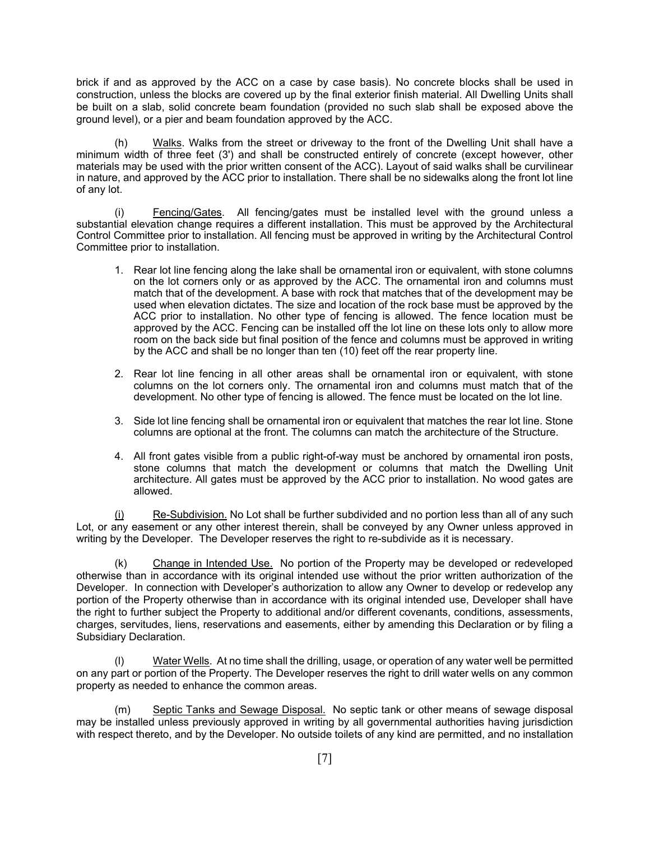brick if and as approved by the ACC on a case by case basis). No concrete blocks shall be used in construction, unless the blocks are covered up by the final exterior finish material. All Dwelling Units shall be built on a slab, solid concrete beam foundation (provided no such slab shall be exposed above the ground level), or a pier and beam foundation approved by the ACC.

 (h) Walks. Walks from the street or driveway to the front of the Dwelling Unit shall have a minimum width of three feet (3') and shall be constructed entirely of concrete (except however, other materials may be used with the prior written consent of the ACC). Layout of said walks shall be curvilinear in nature, and approved by the ACC prior to installation. There shall be no sidewalks along the front lot line of any lot.

(i) Fencing/Gates. All fencing/gates must be installed level with the ground unless a substantial elevation change requires a different installation. This must be approved by the Architectural Control Committee prior to installation. All fencing must be approved in writing by the Architectural Control Committee prior to installation.

- 1. Rear lot line fencing along the lake shall be ornamental iron or equivalent, with stone columns on the lot corners only or as approved by the ACC. The ornamental iron and columns must match that of the development. A base with rock that matches that of the development may be used when elevation dictates. The size and location of the rock base must be approved by the ACC prior to installation. No other type of fencing is allowed. The fence location must be approved by the ACC. Fencing can be installed off the lot line on these lots only to allow more room on the back side but final position of the fence and columns must be approved in writing by the ACC and shall be no longer than ten (10) feet off the rear property line.
- 2. Rear lot line fencing in all other areas shall be ornamental iron or equivalent, with stone columns on the lot corners only. The ornamental iron and columns must match that of the development. No other type of fencing is allowed. The fence must be located on the lot line.
- 3. Side lot line fencing shall be ornamental iron or equivalent that matches the rear lot line. Stone columns are optional at the front. The columns can match the architecture of the Structure.
- 4. All front gates visible from a public right-of-way must be anchored by ornamental iron posts, stone columns that match the development or columns that match the Dwelling Unit architecture. All gates must be approved by the ACC prior to installation. No wood gates are allowed.

(i) Re-Subdivision. No Lot shall be further subdivided and no portion less than all of any such Lot, or any easement or any other interest therein, shall be conveyed by any Owner unless approved in writing by the Developer. The Developer reserves the right to re-subdivide as it is necessary.

(k) Change in Intended Use. No portion of the Property may be developed or redeveloped otherwise than in accordance with its original intended use without the prior written authorization of the Developer. In connection with Developer's authorization to allow any Owner to develop or redevelop any portion of the Property otherwise than in accordance with its original intended use, Developer shall have the right to further subject the Property to additional and/or different covenants, conditions, assessments, charges, servitudes, liens, reservations and easements, either by amending this Declaration or by filing a Subsidiary Declaration.

Water Wells. At no time shall the drilling, usage, or operation of any water well be permitted on any part or portion of the Property. The Developer reserves the right to drill water wells on any common property as needed to enhance the common areas.

 (m) Septic Tanks and Sewage Disposal. No septic tank or other means of sewage disposal may be installed unless previously approved in writing by all governmental authorities having jurisdiction with respect thereto, and by the Developer. No outside toilets of any kind are permitted, and no installation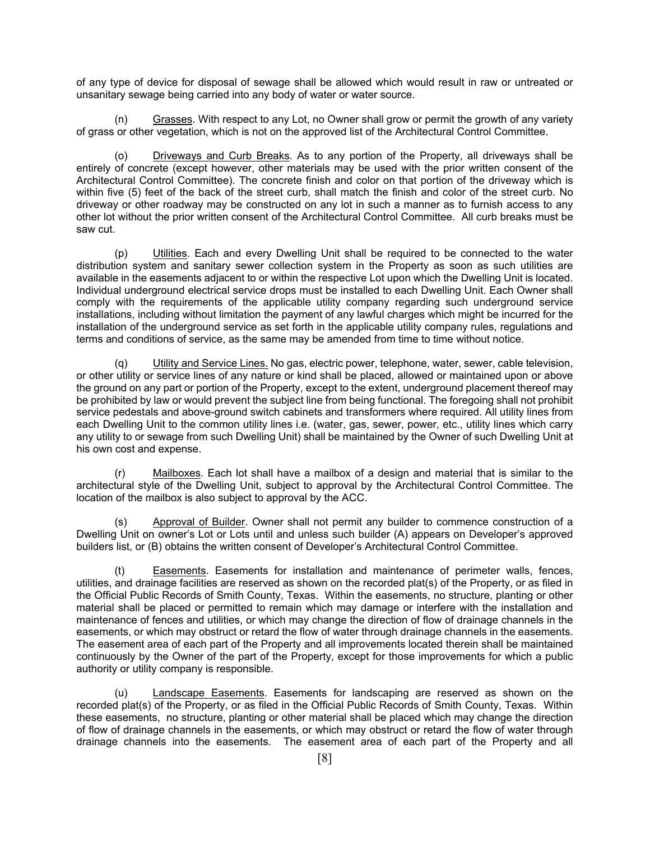of any type of device for disposal of sewage shall be allowed which would result in raw or untreated or unsanitary sewage being carried into any body of water or water source.

 (n) Grasses. With respect to any Lot, no Owner shall grow or permit the growth of any variety of grass or other vegetation, which is not on the approved list of the Architectural Control Committee.

(o) Driveways and Curb Breaks. As to any portion of the Property, all driveways shall be entirely of concrete (except however, other materials may be used with the prior written consent of the Architectural Control Committee). The concrete finish and color on that portion of the driveway which is within five (5) feet of the back of the street curb, shall match the finish and color of the street curb. No driveway or other roadway may be constructed on any lot in such a manner as to furnish access to any other lot without the prior written consent of the Architectural Control Committee. All curb breaks must be saw cut.

 (p) Utilities. Each and every Dwelling Unit shall be required to be connected to the water distribution system and sanitary sewer collection system in the Property as soon as such utilities are available in the easements adjacent to or within the respective Lot upon which the Dwelling Unit is located. Individual underground electrical service drops must be installed to each Dwelling Unit. Each Owner shall comply with the requirements of the applicable utility company regarding such underground service installations, including without limitation the payment of any lawful charges which might be incurred for the installation of the underground service as set forth in the applicable utility company rules, regulations and terms and conditions of service, as the same may be amended from time to time without notice.

 (q) Utility and Service Lines. No gas, electric power, telephone, water, sewer, cable television, or other utility or service lines of any nature or kind shall be placed, allowed or maintained upon or above the ground on any part or portion of the Property, except to the extent, underground placement thereof may be prohibited by law or would prevent the subject line from being functional. The foregoing shall not prohibit service pedestals and above-ground switch cabinets and transformers where required. All utility lines from each Dwelling Unit to the common utility lines i.e. (water, gas, sewer, power, etc., utility lines which carry any utility to or sewage from such Dwelling Unit) shall be maintained by the Owner of such Dwelling Unit at his own cost and expense.

(r) Mailboxes. Each lot shall have a mailbox of a design and material that is similar to the architectural style of the Dwelling Unit, subject to approval by the Architectural Control Committee. The location of the mailbox is also subject to approval by the ACC.

 (s) Approval of Builder. Owner shall not permit any builder to commence construction of a Dwelling Unit on owner's Lot or Lots until and unless such builder (A) appears on Developer's approved builders list, or (B) obtains the written consent of Developer's Architectural Control Committee.

 (t) Easements. Easements for installation and maintenance of perimeter walls, fences, utilities, and drainage facilities are reserved as shown on the recorded plat(s) of the Property, or as filed in the Official Public Records of Smith County, Texas. Within the easements, no structure, planting or other material shall be placed or permitted to remain which may damage or interfere with the installation and maintenance of fences and utilities, or which may change the direction of flow of drainage channels in the easements, or which may obstruct or retard the flow of water through drainage channels in the easements. The easement area of each part of the Property and all improvements located therein shall be maintained continuously by the Owner of the part of the Property, except for those improvements for which a public authority or utility company is responsible.

 (u) Landscape Easements. Easements for landscaping are reserved as shown on the recorded plat(s) of the Property, or as filed in the Official Public Records of Smith County, Texas. Within these easements, no structure, planting or other material shall be placed which may change the direction of flow of drainage channels in the easements, or which may obstruct or retard the flow of water through drainage channels into the easements. The easement area of each part of the Property and all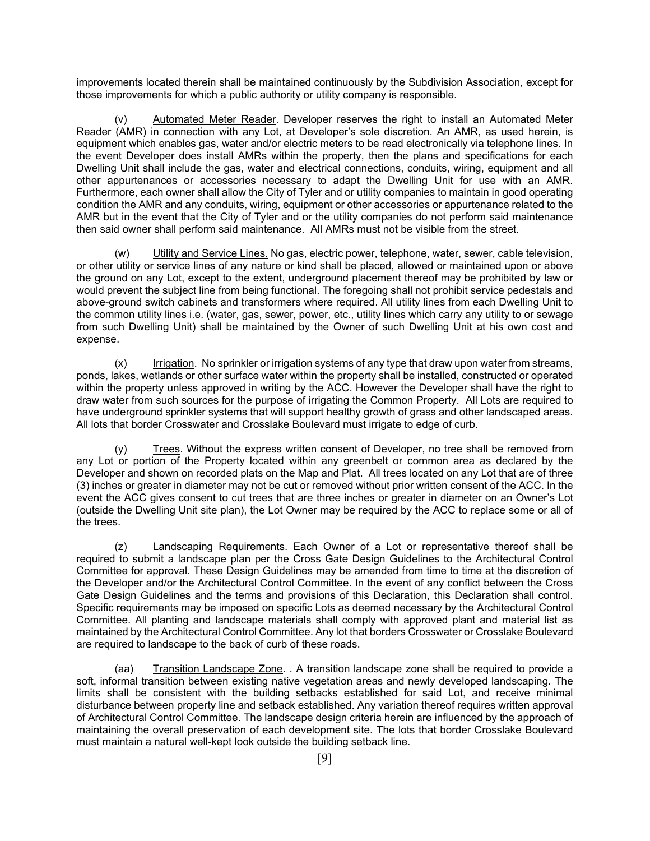improvements located therein shall be maintained continuously by the Subdivision Association, except for those improvements for which a public authority or utility company is responsible.

 (v) Automated Meter Reader. Developer reserves the right to install an Automated Meter Reader (AMR) in connection with any Lot, at Developer's sole discretion. An AMR, as used herein, is equipment which enables gas, water and/or electric meters to be read electronically via telephone lines. In the event Developer does install AMRs within the property, then the plans and specifications for each Dwelling Unit shall include the gas, water and electrical connections, conduits, wiring, equipment and all other appurtenances or accessories necessary to adapt the Dwelling Unit for use with an AMR. Furthermore, each owner shall allow the City of Tyler and or utility companies to maintain in good operating condition the AMR and any conduits, wiring, equipment or other accessories or appurtenance related to the AMR but in the event that the City of Tyler and or the utility companies do not perform said maintenance then said owner shall perform said maintenance. All AMRs must not be visible from the street.

 (w) Utility and Service Lines. No gas, electric power, telephone, water, sewer, cable television, or other utility or service lines of any nature or kind shall be placed, allowed or maintained upon or above the ground on any Lot, except to the extent, underground placement thereof may be prohibited by law or would prevent the subject line from being functional. The foregoing shall not prohibit service pedestals and above-ground switch cabinets and transformers where required. All utility lines from each Dwelling Unit to the common utility lines i.e. (water, gas, sewer, power, etc., utility lines which carry any utility to or sewage from such Dwelling Unit) shall be maintained by the Owner of such Dwelling Unit at his own cost and expense.

 (x) Irrigation. No sprinkler or irrigation systems of any type that draw upon water from streams, ponds, lakes, wetlands or other surface water within the property shall be installed, constructed or operated within the property unless approved in writing by the ACC. However the Developer shall have the right to draw water from such sources for the purpose of irrigating the Common Property. All Lots are required to have underground sprinkler systems that will support healthy growth of grass and other landscaped areas. All lots that border Crosswater and Crosslake Boulevard must irrigate to edge of curb.

(y) Trees. Without the express written consent of Developer, no tree shall be removed from any Lot or portion of the Property located within any greenbelt or common area as declared by the Developer and shown on recorded plats on the Map and Plat. All trees located on any Lot that are of three (3) inches or greater in diameter may not be cut or removed without prior written consent of the ACC. In the event the ACC gives consent to cut trees that are three inches or greater in diameter on an Owner's Lot (outside the Dwelling Unit site plan), the Lot Owner may be required by the ACC to replace some or all of the trees.

 (z) Landscaping Requirements. Each Owner of a Lot or representative thereof shall be required to submit a landscape plan per the Cross Gate Design Guidelines to the Architectural Control Committee for approval. These Design Guidelines may be amended from time to time at the discretion of the Developer and/or the Architectural Control Committee. In the event of any conflict between the Cross Gate Design Guidelines and the terms and provisions of this Declaration, this Declaration shall control. Specific requirements may be imposed on specific Lots as deemed necessary by the Architectural Control Committee. All planting and landscape materials shall comply with approved plant and material list as maintained by the Architectural Control Committee. Any lot that borders Crosswater or Crosslake Boulevard are required to landscape to the back of curb of these roads.

 (aa) Transition Landscape Zone. . A transition landscape zone shall be required to provide a soft, informal transition between existing native vegetation areas and newly developed landscaping. The limits shall be consistent with the building setbacks established for said Lot, and receive minimal disturbance between property line and setback established. Any variation thereof requires written approval of Architectural Control Committee. The landscape design criteria herein are influenced by the approach of maintaining the overall preservation of each development site. The lots that border Crosslake Boulevard must maintain a natural well-kept look outside the building setback line.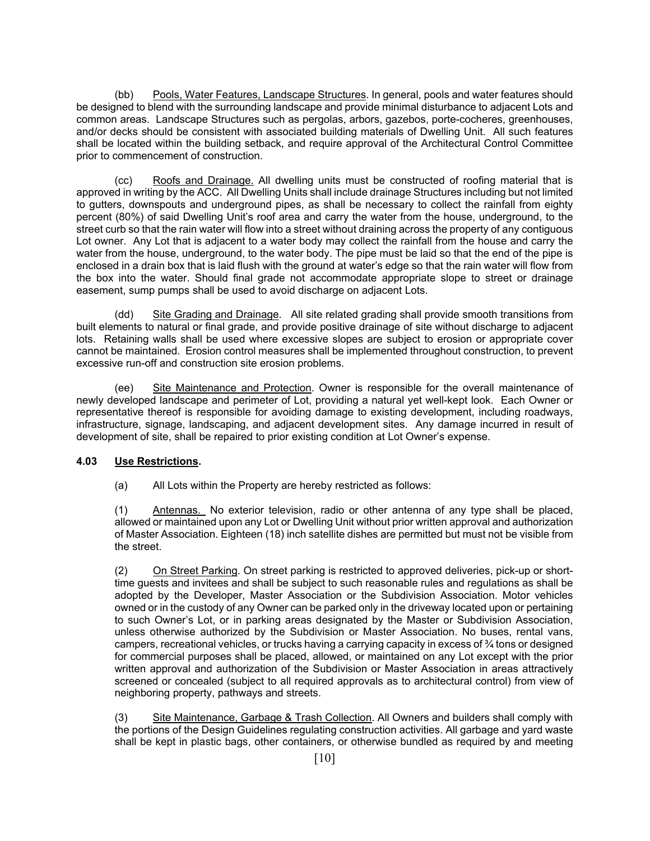(bb) Pools, Water Features, Landscape Structures. In general, pools and water features should be designed to blend with the surrounding landscape and provide minimal disturbance to adjacent Lots and common areas. Landscape Structures such as pergolas, arbors, gazebos, porte-cocheres, greenhouses, and/or decks should be consistent with associated building materials of Dwelling Unit. All such features shall be located within the building setback, and require approval of the Architectural Control Committee prior to commencement of construction.

 (cc) Roofs and Drainage. All dwelling units must be constructed of roofing material that is approved in writing by the ACC. All Dwelling Units shall include drainage Structures including but not limited to gutters, downspouts and underground pipes, as shall be necessary to collect the rainfall from eighty percent (80%) of said Dwelling Unit's roof area and carry the water from the house, underground, to the street curb so that the rain water will flow into a street without draining across the property of any contiguous Lot owner. Any Lot that is adjacent to a water body may collect the rainfall from the house and carry the water from the house, underground, to the water body. The pipe must be laid so that the end of the pipe is enclosed in a drain box that is laid flush with the ground at water's edge so that the rain water will flow from the box into the water. Should final grade not accommodate appropriate slope to street or drainage easement, sump pumps shall be used to avoid discharge on adjacent Lots.

(dd) Site Grading and Drainage. All site related grading shall provide smooth transitions from built elements to natural or final grade, and provide positive drainage of site without discharge to adjacent lots. Retaining walls shall be used where excessive slopes are subject to erosion or appropriate cover cannot be maintained. Erosion control measures shall be implemented throughout construction, to prevent excessive run-off and construction site erosion problems.

 (ee) Site Maintenance and Protection. Owner is responsible for the overall maintenance of newly developed landscape and perimeter of Lot, providing a natural yet well-kept look. Each Owner or representative thereof is responsible for avoiding damage to existing development, including roadways, infrastructure, signage, landscaping, and adjacent development sites. Any damage incurred in result of development of site, shall be repaired to prior existing condition at Lot Owner's expense.

# **4.03 Use Restrictions.**

(a) All Lots within the Property are hereby restricted as follows:

(1) Antennas. No exterior television, radio or other antenna of any type shall be placed, allowed or maintained upon any Lot or Dwelling Unit without prior written approval and authorization of Master Association. Eighteen (18) inch satellite dishes are permitted but must not be visible from the street.

(2) On Street Parking. On street parking is restricted to approved deliveries, pick-up or shorttime guests and invitees and shall be subject to such reasonable rules and regulations as shall be adopted by the Developer, Master Association or the Subdivision Association. Motor vehicles owned or in the custody of any Owner can be parked only in the driveway located upon or pertaining to such Owner's Lot, or in parking areas designated by the Master or Subdivision Association, unless otherwise authorized by the Subdivision or Master Association. No buses, rental vans, campers, recreational vehicles, or trucks having a carrying capacity in excess of  $\frac{3}{4}$  tons or designed for commercial purposes shall be placed, allowed, or maintained on any Lot except with the prior written approval and authorization of the Subdivision or Master Association in areas attractively screened or concealed (subject to all required approvals as to architectural control) from view of neighboring property, pathways and streets.

(3) Site Maintenance, Garbage & Trash Collection. All Owners and builders shall comply with the portions of the Design Guidelines regulating construction activities. All garbage and yard waste shall be kept in plastic bags, other containers, or otherwise bundled as required by and meeting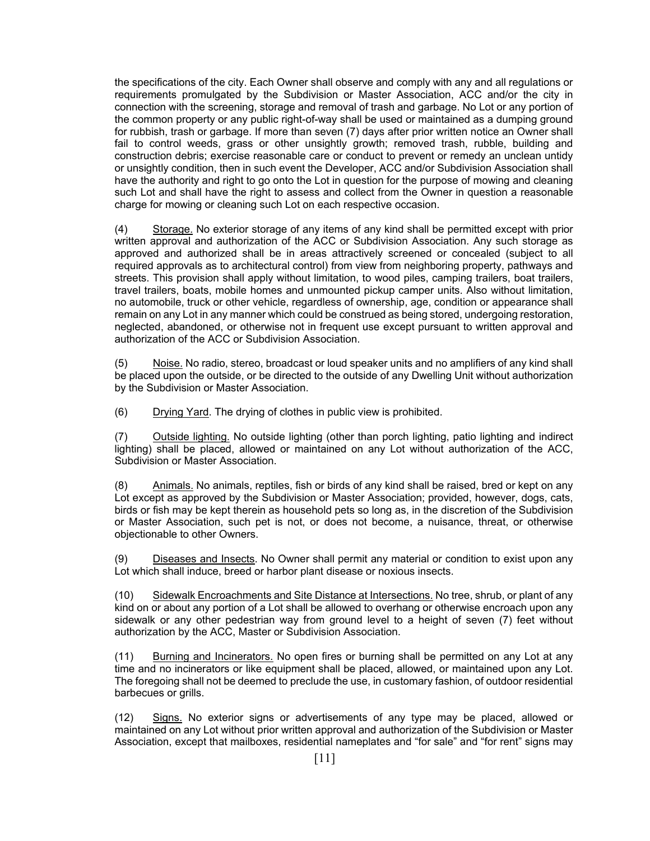the specifications of the city. Each Owner shall observe and comply with any and all regulations or requirements promulgated by the Subdivision or Master Association, ACC and/or the city in connection with the screening, storage and removal of trash and garbage. No Lot or any portion of the common property or any public right-of-way shall be used or maintained as a dumping ground for rubbish, trash or garbage. If more than seven (7) days after prior written notice an Owner shall fail to control weeds, grass or other unsightly growth; removed trash, rubble, building and construction debris; exercise reasonable care or conduct to prevent or remedy an unclean untidy or unsightly condition, then in such event the Developer, ACC and/or Subdivision Association shall have the authority and right to go onto the Lot in question for the purpose of mowing and cleaning such Lot and shall have the right to assess and collect from the Owner in question a reasonable charge for mowing or cleaning such Lot on each respective occasion.

(4) Storage. No exterior storage of any items of any kind shall be permitted except with prior written approval and authorization of the ACC or Subdivision Association. Any such storage as approved and authorized shall be in areas attractively screened or concealed (subject to all required approvals as to architectural control) from view from neighboring property, pathways and streets. This provision shall apply without limitation, to wood piles, camping trailers, boat trailers, travel trailers, boats, mobile homes and unmounted pickup camper units. Also without limitation, no automobile, truck or other vehicle, regardless of ownership, age, condition or appearance shall remain on any Lot in any manner which could be construed as being stored, undergoing restoration, neglected, abandoned, or otherwise not in frequent use except pursuant to written approval and authorization of the ACC or Subdivision Association.

(5) Noise. No radio, stereo, broadcast or loud speaker units and no amplifiers of any kind shall be placed upon the outside, or be directed to the outside of any Dwelling Unit without authorization by the Subdivision or Master Association.

(6) Drying Yard. The drying of clothes in public view is prohibited.

(7) Outside lighting. No outside lighting (other than porch lighting, patio lighting and indirect lighting) shall be placed, allowed or maintained on any Lot without authorization of the ACC, Subdivision or Master Association.

(8) Animals. No animals, reptiles, fish or birds of any kind shall be raised, bred or kept on any Lot except as approved by the Subdivision or Master Association; provided, however, dogs, cats, birds or fish may be kept therein as household pets so long as, in the discretion of the Subdivision or Master Association, such pet is not, or does not become, a nuisance, threat, or otherwise objectionable to other Owners.

(9) Diseases and Insects. No Owner shall permit any material or condition to exist upon any Lot which shall induce, breed or harbor plant disease or noxious insects.

(10) Sidewalk Encroachments and Site Distance at Intersections. No tree, shrub, or plant of any kind on or about any portion of a Lot shall be allowed to overhang or otherwise encroach upon any sidewalk or any other pedestrian way from ground level to a height of seven (7) feet without authorization by the ACC, Master or Subdivision Association.

(11) Burning and Incinerators. No open fires or burning shall be permitted on any Lot at any time and no incinerators or like equipment shall be placed, allowed, or maintained upon any Lot. The foregoing shall not be deemed to preclude the use, in customary fashion, of outdoor residential barbecues or grills.

(12) Signs. No exterior signs or advertisements of any type may be placed, allowed or maintained on any Lot without prior written approval and authorization of the Subdivision or Master Association, except that mailboxes, residential nameplates and "for sale" and "for rent" signs may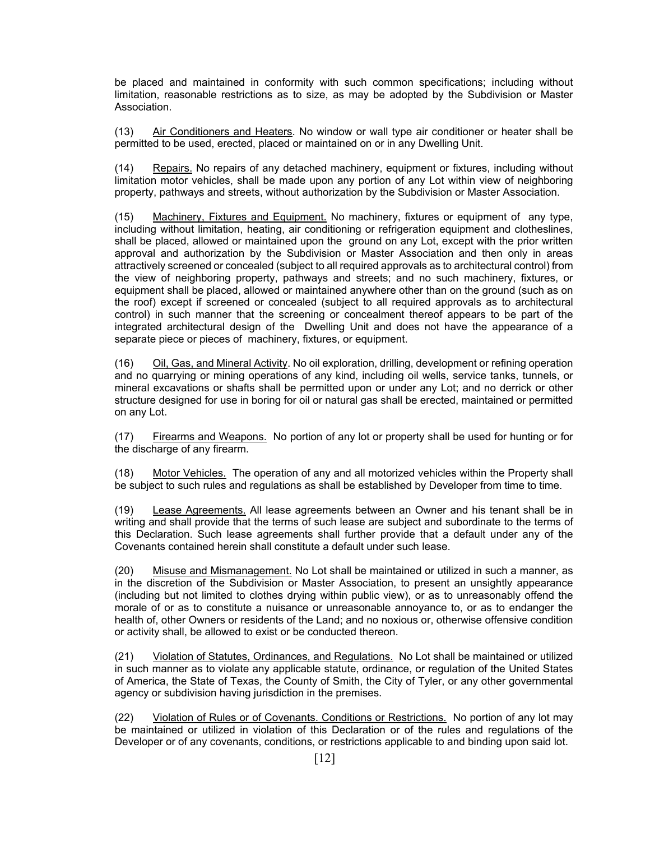be placed and maintained in conformity with such common specifications; including without limitation, reasonable restrictions as to size, as may be adopted by the Subdivision or Master Association.

(13) Air Conditioners and Heaters. No window or wall type air conditioner or heater shall be permitted to be used, erected, placed or maintained on or in any Dwelling Unit.

(14) Repairs. No repairs of any detached machinery, equipment or fixtures, including without limitation motor vehicles, shall be made upon any portion of any Lot within view of neighboring property, pathways and streets, without authorization by the Subdivision or Master Association.

(15) Machinery, Fixtures and Equipment. No machinery, fixtures or equipment of any type, including without limitation, heating, air conditioning or refrigeration equipment and clotheslines, shall be placed, allowed or maintained upon the ground on any Lot, except with the prior written approval and authorization by the Subdivision or Master Association and then only in areas attractively screened or concealed (subject to all required approvals as to architectural control) from the view of neighboring property, pathways and streets; and no such machinery, fixtures, or equipment shall be placed, allowed or maintained anywhere other than on the ground (such as on the roof) except if screened or concealed (subject to all required approvals as to architectural control) in such manner that the screening or concealment thereof appears to be part of the integrated architectural design of the Dwelling Unit and does not have the appearance of a separate piece or pieces of machinery, fixtures, or equipment.

(16) Oil, Gas, and Mineral Activity. No oil exploration, drilling, development or refining operation and no quarrying or mining operations of any kind, including oil wells, service tanks, tunnels, or mineral excavations or shafts shall be permitted upon or under any Lot; and no derrick or other structure designed for use in boring for oil or natural gas shall be erected, maintained or permitted on any Lot.

(17) Firearms and Weapons. No portion of any lot or property shall be used for hunting or for the discharge of any firearm.

(18) Motor Vehicles. The operation of any and all motorized vehicles within the Property shall be subject to such rules and regulations as shall be established by Developer from time to time.

(19) Lease Agreements. All lease agreements between an Owner and his tenant shall be in writing and shall provide that the terms of such lease are subject and subordinate to the terms of this Declaration. Such lease agreements shall further provide that a default under any of the Covenants contained herein shall constitute a default under such lease.

(20) Misuse and Mismanagement. No Lot shall be maintained or utilized in such a manner, as in the discretion of the Subdivision or Master Association, to present an unsightly appearance (including but not limited to clothes drying within public view), or as to unreasonably offend the morale of or as to constitute a nuisance or unreasonable annoyance to, or as to endanger the health of, other Owners or residents of the Land; and no noxious or, otherwise offensive condition or activity shall, be allowed to exist or be conducted thereon.

(21) Violation of Statutes, Ordinances, and Regulations. No Lot shall be maintained or utilized in such manner as to violate any applicable statute, ordinance, or regulation of the United States of America, the State of Texas, the County of Smith, the City of Tyler, or any other governmental agency or subdivision having jurisdiction in the premises.

(22) Violation of Rules or of Covenants. Conditions or Restrictions. No portion of any lot may be maintained or utilized in violation of this Declaration or of the rules and regulations of the Developer or of any covenants, conditions, or restrictions applicable to and binding upon said lot.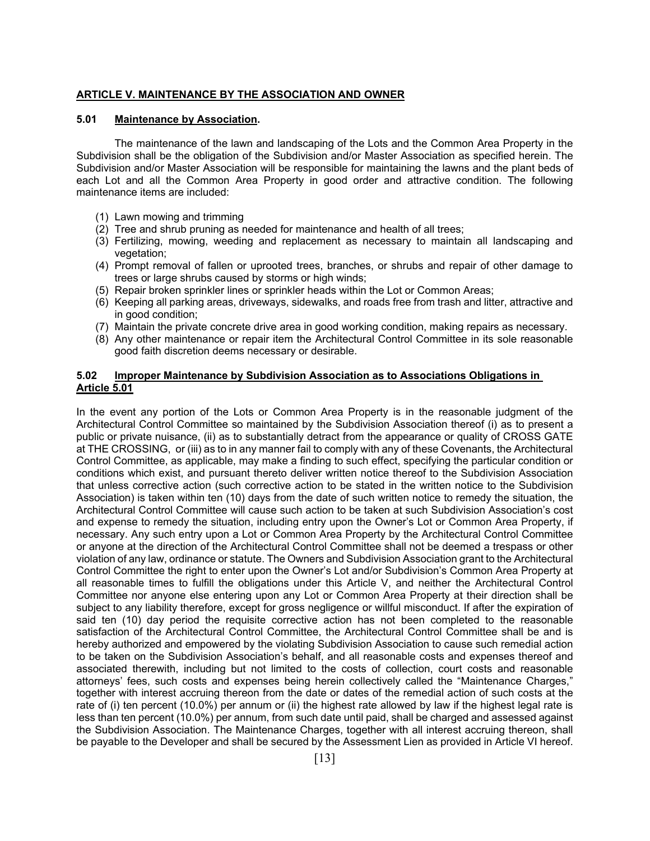### **ARTICLE V. MAINTENANCE BY THE ASSOCIATION AND OWNER**

## **5.01 Maintenance by Association.**

 The maintenance of the lawn and landscaping of the Lots and the Common Area Property in the Subdivision shall be the obligation of the Subdivision and/or Master Association as specified herein. The Subdivision and/or Master Association will be responsible for maintaining the lawns and the plant beds of each Lot and all the Common Area Property in good order and attractive condition. The following maintenance items are included:

- (1) Lawn mowing and trimming
- $(2)$  Tree and shrub pruning as needed for maintenance and health of all trees;
- (3) Fertilizing, mowing, weeding and replacement as necessary to maintain all landscaping and vegetation:
- (4) Prompt removal of fallen or uprooted trees, branches, or shrubs and repair of other damage to trees or large shrubs caused by storms or high winds;
- (5) Repair broken sprinkler lines or sprinkler heads within the Lot or Common Areas;
- (6) Keeping all parking areas, driveways, sidewalks, and roads free from trash and litter, attractive and in good condition;
- (7) Maintain the private concrete drive area in good working condition, making repairs as necessary.
- (8) Any other maintenance or repair item the Architectural Control Committee in its sole reasonable good faith discretion deems necessary or desirable.

## **5.02 Improper Maintenance by Subdivision Association as to Associations Obligations in Article 5.01**

In the event any portion of the Lots or Common Area Property is in the reasonable judgment of the Architectural Control Committee so maintained by the Subdivision Association thereof (i) as to present a public or private nuisance, (ii) as to substantially detract from the appearance or quality of CROSS GATE at THE CROSSING, or (iii) as to in any manner fail to comply with any of these Covenants, the Architectural Control Committee, as applicable, may make a finding to such effect, specifying the particular condition or conditions which exist, and pursuant thereto deliver written notice thereof to the Subdivision Association that unless corrective action (such corrective action to be stated in the written notice to the Subdivision Association) is taken within ten (10) days from the date of such written notice to remedy the situation, the Architectural Control Committee will cause such action to be taken at such Subdivision Association's cost and expense to remedy the situation, including entry upon the Owner's Lot or Common Area Property, if necessary. Any such entry upon a Lot or Common Area Property by the Architectural Control Committee or anyone at the direction of the Architectural Control Committee shall not be deemed a trespass or other violation of any law, ordinance or statute. The Owners and Subdivision Association grant to the Architectural Control Committee the right to enter upon the Owner's Lot and/or Subdivision's Common Area Property at all reasonable times to fulfill the obligations under this Article V, and neither the Architectural Control Committee nor anyone else entering upon any Lot or Common Area Property at their direction shall be subject to any liability therefore, except for gross negligence or willful misconduct. If after the expiration of said ten (10) day period the requisite corrective action has not been completed to the reasonable satisfaction of the Architectural Control Committee, the Architectural Control Committee shall be and is hereby authorized and empowered by the violating Subdivision Association to cause such remedial action to be taken on the Subdivision Association's behalf, and all reasonable costs and expenses thereof and associated therewith, including but not limited to the costs of collection, court costs and reasonable attorneys' fees, such costs and expenses being herein collectively called the "Maintenance Charges," together with interest accruing thereon from the date or dates of the remedial action of such costs at the rate of (i) ten percent (10.0%) per annum or (ii) the highest rate allowed by law if the highest legal rate is less than ten percent (10.0%) per annum, from such date until paid, shall be charged and assessed against the Subdivision Association. The Maintenance Charges, together with all interest accruing thereon, shall be payable to the Developer and shall be secured by the Assessment Lien as provided in Article VI hereof.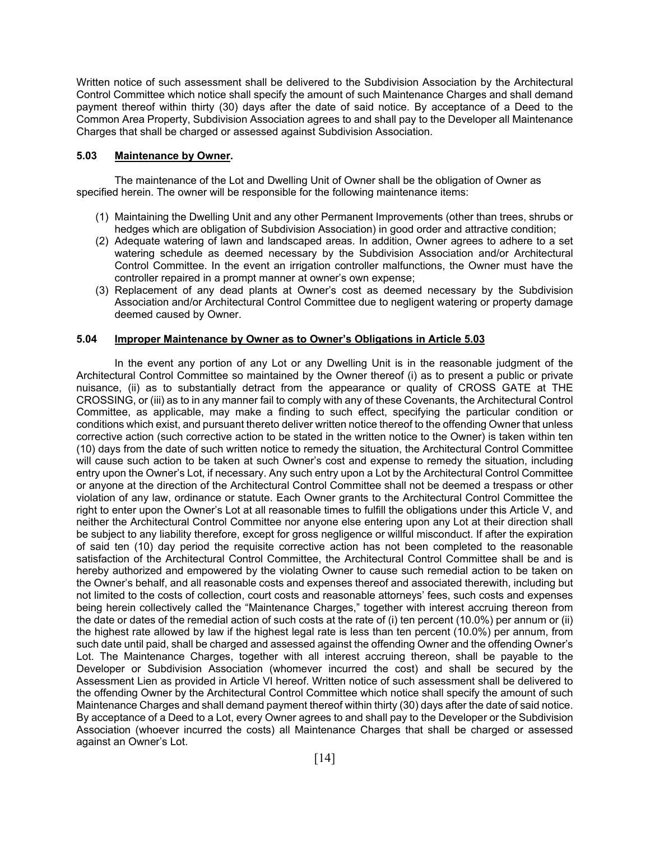Written notice of such assessment shall be delivered to the Subdivision Association by the Architectural Control Committee which notice shall specify the amount of such Maintenance Charges and shall demand payment thereof within thirty (30) days after the date of said notice. By acceptance of a Deed to the Common Area Property, Subdivision Association agrees to and shall pay to the Developer all Maintenance Charges that shall be charged or assessed against Subdivision Association.

#### **5.03 Maintenance by Owner.**

The maintenance of the Lot and Dwelling Unit of Owner shall be the obligation of Owner as specified herein. The owner will be responsible for the following maintenance items:

- (1) Maintaining the Dwelling Unit and any other Permanent Improvements (other than trees, shrubs or hedges which are obligation of Subdivision Association) in good order and attractive condition;
- (2) Adequate watering of lawn and landscaped areas. In addition, Owner agrees to adhere to a set watering schedule as deemed necessary by the Subdivision Association and/or Architectural Control Committee. In the event an irrigation controller malfunctions, the Owner must have the controller repaired in a prompt manner at owner's own expense;
- (3) Replacement of any dead plants at Owner's cost as deemed necessary by the Subdivision Association and/or Architectural Control Committee due to negligent watering or property damage deemed caused by Owner.

### **5.04 Improper Maintenance by Owner as to Owner's Obligations in Article 5.03**

 In the event any portion of any Lot or any Dwelling Unit is in the reasonable judgment of the Architectural Control Committee so maintained by the Owner thereof (i) as to present a public or private nuisance, (ii) as to substantially detract from the appearance or quality of CROSS GATE at THE CROSSING, or (iii) as to in any manner fail to comply with any of these Covenants, the Architectural Control Committee, as applicable, may make a finding to such effect, specifying the particular condition or conditions which exist, and pursuant thereto deliver written notice thereof to the offending Owner that unless corrective action (such corrective action to be stated in the written notice to the Owner) is taken within ten (10) days from the date of such written notice to remedy the situation, the Architectural Control Committee will cause such action to be taken at such Owner's cost and expense to remedy the situation, including entry upon the Owner's Lot, if necessary. Any such entry upon a Lot by the Architectural Control Committee or anyone at the direction of the Architectural Control Committee shall not be deemed a trespass or other violation of any law, ordinance or statute. Each Owner grants to the Architectural Control Committee the right to enter upon the Owner's Lot at all reasonable times to fulfill the obligations under this Article V, and neither the Architectural Control Committee nor anyone else entering upon any Lot at their direction shall be subject to any liability therefore, except for gross negligence or willful misconduct. If after the expiration of said ten (10) day period the requisite corrective action has not been completed to the reasonable satisfaction of the Architectural Control Committee, the Architectural Control Committee shall be and is hereby authorized and empowered by the violating Owner to cause such remedial action to be taken on the Owner's behalf, and all reasonable costs and expenses thereof and associated therewith, including but not limited to the costs of collection, court costs and reasonable attorneys' fees, such costs and expenses being herein collectively called the "Maintenance Charges," together with interest accruing thereon from the date or dates of the remedial action of such costs at the rate of (i) ten percent (10.0%) per annum or (ii) the highest rate allowed by law if the highest legal rate is less than ten percent (10.0%) per annum, from such date until paid, shall be charged and assessed against the offending Owner and the offending Owner's Lot. The Maintenance Charges, together with all interest accruing thereon, shall be payable to the Developer or Subdivision Association (whomever incurred the cost) and shall be secured by the Assessment Lien as provided in Article VI hereof. Written notice of such assessment shall be delivered to the offending Owner by the Architectural Control Committee which notice shall specify the amount of such Maintenance Charges and shall demand payment thereof within thirty (30) days after the date of said notice. By acceptance of a Deed to a Lot, every Owner agrees to and shall pay to the Developer or the Subdivision Association (whoever incurred the costs) all Maintenance Charges that shall be charged or assessed against an Owner's Lot.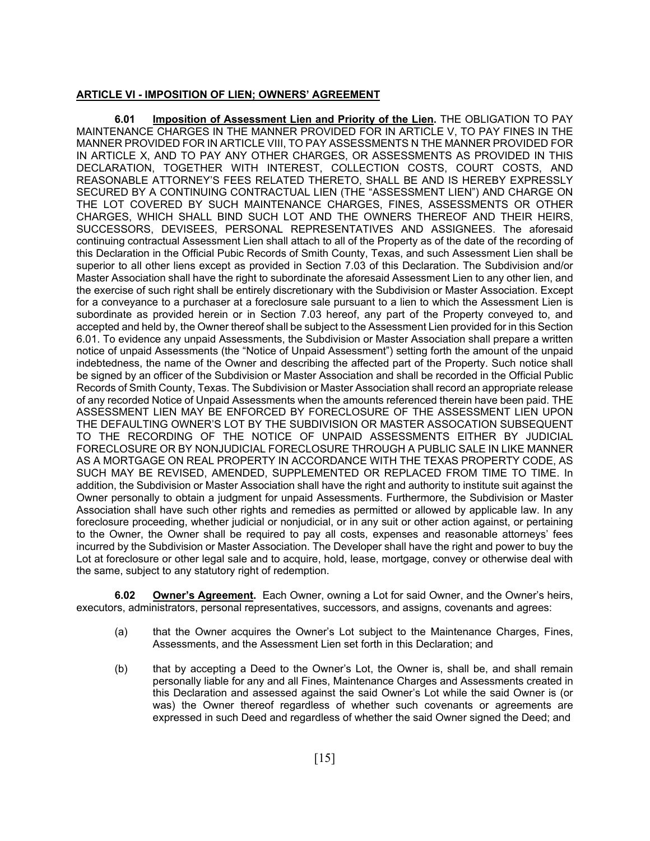#### **ARTICLE VI - IMPOSITION OF LIEN; OWNERS' AGREEMENT**

**6.01 Imposition of Assessment Lien and Priority of the Lien.** THE OBLIGATION TO PAY MAINTENANCE CHARGES IN THE MANNER PROVIDED FOR IN ARTICLE V, TO PAY FINES IN THE MANNER PROVIDED FOR IN ARTICLE VIII, TO PAY ASSESSMENTS N THE MANNER PROVIDED FOR IN ARTICLE X, AND TO PAY ANY OTHER CHARGES, OR ASSESSMENTS AS PROVIDED IN THIS DECLARATION, TOGETHER WITH INTEREST, COLLECTION COSTS, COURT COSTS, AND REASONABLE ATTORNEY'S FEES RELATED THERETO, SHALL BE AND IS HEREBY EXPRESSLY SECURED BY A CONTINUING CONTRACTUAL LIEN (THE "ASSESSMENT LIEN") AND CHARGE ON THE LOT COVERED BY SUCH MAINTENANCE CHARGES, FINES, ASSESSMENTS OR OTHER CHARGES, WHICH SHALL BIND SUCH LOT AND THE OWNERS THEREOF AND THEIR HEIRS, SUCCESSORS, DEVISEES, PERSONAL REPRESENTATIVES AND ASSIGNEES. The aforesaid continuing contractual Assessment Lien shall attach to all of the Property as of the date of the recording of this Declaration in the Official Pubic Records of Smith County, Texas, and such Assessment Lien shall be superior to all other liens except as provided in Section 7.03 of this Declaration. The Subdivision and/or Master Association shall have the right to subordinate the aforesaid Assessment Lien to any other lien, and the exercise of such right shall be entirely discretionary with the Subdivision or Master Association. Except for a conveyance to a purchaser at a foreclosure sale pursuant to a lien to which the Assessment Lien is subordinate as provided herein or in Section 7.03 hereof, any part of the Property conveyed to, and accepted and held by, the Owner thereof shall be subject to the Assessment Lien provided for in this Section 6.01. To evidence any unpaid Assessments, the Subdivision or Master Association shall prepare a written notice of unpaid Assessments (the "Notice of Unpaid Assessment") setting forth the amount of the unpaid indebtedness, the name of the Owner and describing the affected part of the Property. Such notice shall be signed by an officer of the Subdivision or Master Association and shall be recorded in the Official Public Records of Smith County, Texas. The Subdivision or Master Association shall record an appropriate release of any recorded Notice of Unpaid Assessments when the amounts referenced therein have been paid. THE ASSESSMENT LIEN MAY BE ENFORCED BY FORECLOSURE OF THE ASSESSMENT LIEN UPON THE DEFAULTING OWNER'S LOT BY THE SUBDIVISION OR MASTER ASSOCATION SUBSEQUENT TO THE RECORDING OF THE NOTICE OF UNPAID ASSESSMENTS EITHER BY JUDICIAL FORECLOSURE OR BY NONJUDICIAL FORECLOSURE THROUGH A PUBLIC SALE IN LIKE MANNER AS A MORTGAGE ON REAL PROPERTY IN ACCORDANCE WITH THE TEXAS PROPERTY CODE, AS SUCH MAY BE REVISED, AMENDED, SUPPLEMENTED OR REPLACED FROM TIME TO TIME. In addition, the Subdivision or Master Association shall have the right and authority to institute suit against the Owner personally to obtain a judgment for unpaid Assessments. Furthermore, the Subdivision or Master Association shall have such other rights and remedies as permitted or allowed by applicable law. In any foreclosure proceeding, whether judicial or nonjudicial, or in any suit or other action against, or pertaining to the Owner, the Owner shall be required to pay all costs, expenses and reasonable attorneys' fees incurred by the Subdivision or Master Association. The Developer shall have the right and power to buy the Lot at foreclosure or other legal sale and to acquire, hold, lease, mortgage, convey or otherwise deal with the same, subject to any statutory right of redemption.

**6.02 Owner's Agreement.** Each Owner, owning a Lot for said Owner, and the Owner's heirs, executors, administrators, personal representatives, successors, and assigns, covenants and agrees:

- (a) that the Owner acquires the Owner's Lot subject to the Maintenance Charges, Fines, Assessments, and the Assessment Lien set forth in this Declaration; and
- (b) that by accepting a Deed to the Owner's Lot, the Owner is, shall be, and shall remain personally liable for any and all Fines, Maintenance Charges and Assessments created in this Declaration and assessed against the said Owner's Lot while the said Owner is (or was) the Owner thereof regardless of whether such covenants or agreements are expressed in such Deed and regardless of whether the said Owner signed the Deed; and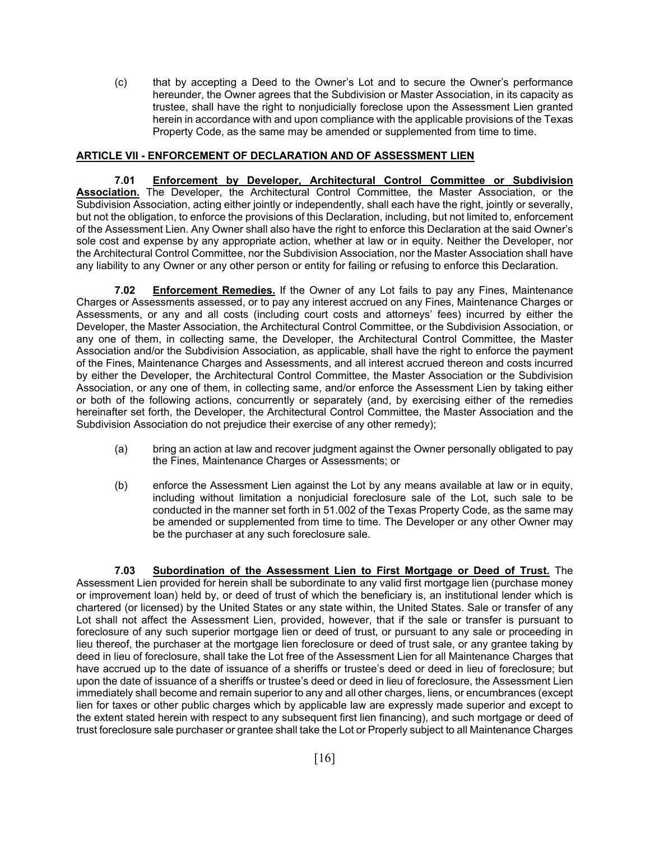(c) that by accepting a Deed to the Owner's Lot and to secure the Owner's performance hereunder, the Owner agrees that the Subdivision or Master Association, in its capacity as trustee, shall have the right to nonjudicially foreclose upon the Assessment Lien granted herein in accordance with and upon compliance with the applicable provisions of the Texas Property Code, as the same may be amended or supplemented from time to time.

## **ARTICLE VII - ENFORCEMENT OF DECLARATION AND OF ASSESSMENT LIEN**

**7.01 Enforcement by Developer, Architectural Control Committee or Subdivision Association.** The Developer, the Architectural Control Committee, the Master Association, or the Subdivision Association, acting either jointly or independently, shall each have the right, jointly or severally, but not the obligation, to enforce the provisions of this Declaration, including, but not limited to, enforcement of the Assessment Lien. Any Owner shall also have the right to enforce this Declaration at the said Owner's sole cost and expense by any appropriate action, whether at law or in equity. Neither the Developer, nor the Architectural Control Committee, nor the Subdivision Association, nor the Master Association shall have any liability to any Owner or any other person or entity for failing or refusing to enforce this Declaration.

**7.02 Enforcement Remedies.** If the Owner of any Lot fails to pay any Fines, Maintenance Charges or Assessments assessed, or to pay any interest accrued on any Fines, Maintenance Charges or Assessments, or any and all costs (including court costs and attorneys' fees) incurred by either the Developer, the Master Association, the Architectural Control Committee, or the Subdivision Association, or any one of them, in collecting same, the Developer, the Architectural Control Committee, the Master Association and/or the Subdivision Association, as applicable, shall have the right to enforce the payment of the Fines, Maintenance Charges and Assessments, and all interest accrued thereon and costs incurred by either the Developer, the Architectural Control Committee, the Master Association or the Subdivision Association, or any one of them, in collecting same, and/or enforce the Assessment Lien by taking either or both of the following actions, concurrently or separately (and, by exercising either of the remedies hereinafter set forth, the Developer, the Architectural Control Committee, the Master Association and the Subdivision Association do not prejudice their exercise of any other remedy);

- (a) bring an action at law and recover judgment against the Owner personally obligated to pay the Fines, Maintenance Charges or Assessments; or
- (b) enforce the Assessment Lien against the Lot by any means available at law or in equity, including without limitation a nonjudicial foreclosure sale of the Lot, such sale to be conducted in the manner set forth in 51.002 of the Texas Property Code, as the same may be amended or supplemented from time to time. The Developer or any other Owner may be the purchaser at any such foreclosure sale.

**7.03 Subordination of the Assessment Lien to First Mortgage or Deed of Trust.** The Assessment Lien provided for herein shall be subordinate to any valid first mortgage lien (purchase money or improvement loan) held by, or deed of trust of which the beneficiary is, an institutional lender which is chartered (or licensed) by the United States or any state within, the United States. Sale or transfer of any Lot shall not affect the Assessment Lien, provided, however, that if the sale or transfer is pursuant to foreclosure of any such superior mortgage lien or deed of trust, or pursuant to any sale or proceeding in lieu thereof, the purchaser at the mortgage lien foreclosure or deed of trust sale, or any grantee taking by deed in lieu of foreclosure, shall take the Lot free of the Assessment Lien for all Maintenance Charges that have accrued up to the date of issuance of a sheriffs or trustee's deed or deed in lieu of foreclosure; but upon the date of issuance of a sheriffs or trustee's deed or deed in lieu of foreclosure, the Assessment Lien immediately shall become and remain superior to any and all other charges, liens, or encumbrances (except lien for taxes or other public charges which by applicable law are expressly made superior and except to the extent stated herein with respect to any subsequent first lien financing), and such mortgage or deed of trust foreclosure sale purchaser or grantee shall take the Lot or Properly subject to all Maintenance Charges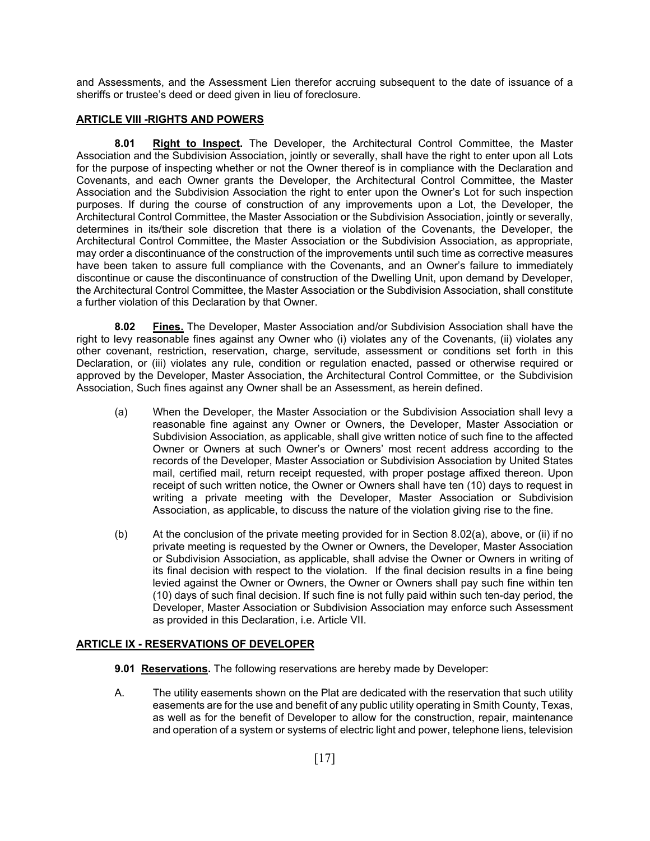and Assessments, and the Assessment Lien therefor accruing subsequent to the date of issuance of a sheriffs or trustee's deed or deed given in lieu of foreclosure.

# **ARTICLE VIII -RIGHTS AND POWERS**

**8.01 Right to Inspect.** The Developer, the Architectural Control Committee, the Master Association and the Subdivision Association, jointly or severally, shall have the right to enter upon all Lots for the purpose of inspecting whether or not the Owner thereof is in compliance with the Declaration and Covenants, and each Owner grants the Developer, the Architectural Control Committee, the Master Association and the Subdivision Association the right to enter upon the Owner's Lot for such inspection purposes. If during the course of construction of any improvements upon a Lot, the Developer, the Architectural Control Committee, the Master Association or the Subdivision Association, jointly or severally, determines in its/their sole discretion that there is a violation of the Covenants, the Developer, the Architectural Control Committee, the Master Association or the Subdivision Association, as appropriate, may order a discontinuance of the construction of the improvements until such time as corrective measures have been taken to assure full compliance with the Covenants, and an Owner's failure to immediately discontinue or cause the discontinuance of construction of the Dwelling Unit, upon demand by Developer, the Architectural Control Committee, the Master Association or the Subdivision Association, shall constitute a further violation of this Declaration by that Owner.

**8.02 Fines.** The Developer, Master Association and/or Subdivision Association shall have the right to levy reasonable fines against any Owner who (i) violates any of the Covenants, (ii) violates any other covenant, restriction, reservation, charge, servitude, assessment or conditions set forth in this Declaration, or (iii) violates any rule, condition or regulation enacted, passed or otherwise required or approved by the Developer, Master Association, the Architectural Control Committee, or the Subdivision Association, Such fines against any Owner shall be an Assessment, as herein defined.

- (a) When the Developer, the Master Association or the Subdivision Association shall levy a reasonable fine against any Owner or Owners, the Developer, Master Association or Subdivision Association, as applicable, shall give written notice of such fine to the affected Owner or Owners at such Owner's or Owners' most recent address according to the records of the Developer, Master Association or Subdivision Association by United States mail, certified mail, return receipt requested, with proper postage affixed thereon. Upon receipt of such written notice, the Owner or Owners shall have ten (10) days to request in writing a private meeting with the Developer, Master Association or Subdivision Association, as applicable, to discuss the nature of the violation giving rise to the fine.
- (b) At the conclusion of the private meeting provided for in Section 8.02(a), above, or (ii) if no private meeting is requested by the Owner or Owners, the Developer, Master Association or Subdivision Association, as applicable, shall advise the Owner or Owners in writing of its final decision with respect to the violation. If the final decision results in a fine being levied against the Owner or Owners, the Owner or Owners shall pay such fine within ten (10) days of such final decision. If such fine is not fully paid within such ten-day period, the Developer, Master Association or Subdivision Association may enforce such Assessment as provided in this Declaration, i.e. Article VII.

# **ARTICLE IX - RESERVATIONS OF DEVELOPER**

- **9.01 Reservations.** The following reservations are hereby made by Developer:
- A. The utility easements shown on the Plat are dedicated with the reservation that such utility easements are for the use and benefit of any public utility operating in Smith County, Texas, as well as for the benefit of Developer to allow for the construction, repair, maintenance and operation of a system or systems of electric light and power, telephone liens, television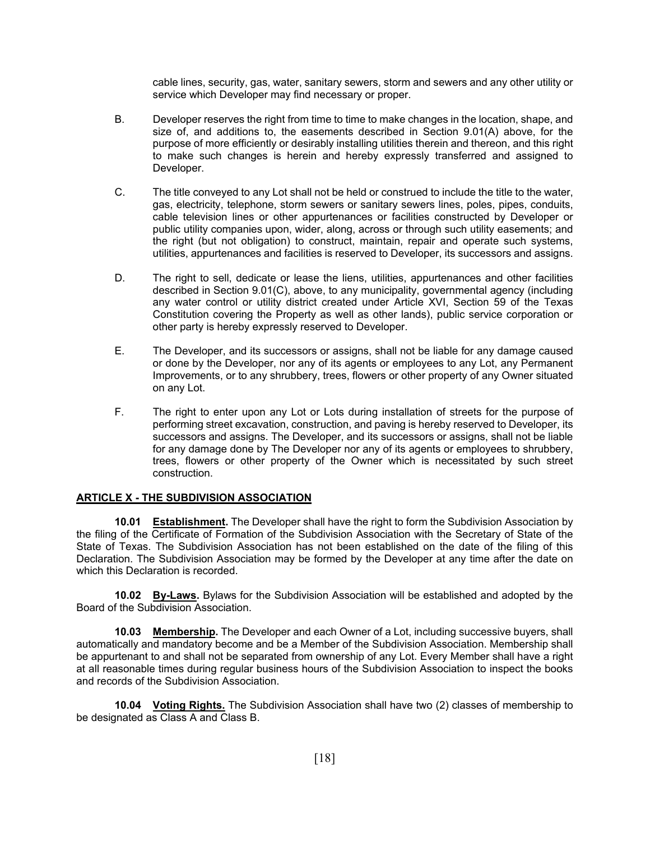cable lines, security, gas, water, sanitary sewers, storm and sewers and any other utility or service which Developer may find necessary or proper.

- B. Developer reserves the right from time to time to make changes in the location, shape, and size of, and additions to, the easements described in Section 9.01(A) above, for the purpose of more efficiently or desirably installing utilities therein and thereon, and this right to make such changes is herein and hereby expressly transferred and assigned to Developer.
- C. The title conveyed to any Lot shall not be held or construed to include the title to the water, gas, electricity, telephone, storm sewers or sanitary sewers lines, poles, pipes, conduits, cable television lines or other appurtenances or facilities constructed by Developer or public utility companies upon, wider, along, across or through such utility easements; and the right (but not obligation) to construct, maintain, repair and operate such systems, utilities, appurtenances and facilities is reserved to Developer, its successors and assigns.
- D. The right to sell, dedicate or lease the liens, utilities, appurtenances and other facilities described in Section 9.01(C), above, to any municipality, governmental agency (including any water control or utility district created under Article XVI, Section 59 of the Texas Constitution covering the Property as well as other lands), public service corporation or other party is hereby expressly reserved to Developer.
- E. The Developer, and its successors or assigns, shall not be liable for any damage caused or done by the Developer, nor any of its agents or employees to any Lot, any Permanent Improvements, or to any shrubbery, trees, flowers or other property of any Owner situated on any Lot.
- F. The right to enter upon any Lot or Lots during installation of streets for the purpose of performing street excavation, construction, and paving is hereby reserved to Developer, its successors and assigns. The Developer, and its successors or assigns, shall not be liable for any damage done by The Developer nor any of its agents or employees to shrubbery, trees, flowers or other property of the Owner which is necessitated by such street construction.

### **ARTICLE X - THE SUBDIVISION ASSOCIATION**

**10.01 Establishment.** The Developer shall have the right to form the Subdivision Association by the filing of the Certificate of Formation of the Subdivision Association with the Secretary of State of the State of Texas. The Subdivision Association has not been established on the date of the filing of this Declaration. The Subdivision Association may be formed by the Developer at any time after the date on which this Declaration is recorded.

**10.02 By-Laws.** Bylaws for the Subdivision Association will be established and adopted by the Board of the Subdivision Association.

**10.03 Membership.** The Developer and each Owner of a Lot, including successive buyers, shall automatically and mandatory become and be a Member of the Subdivision Association. Membership shall be appurtenant to and shall not be separated from ownership of any Lot. Every Member shall have a right at all reasonable times during regular business hours of the Subdivision Association to inspect the books and records of the Subdivision Association.

**10.04 Voting Rights.** The Subdivision Association shall have two (2) classes of membership to be designated as Class A and Class B.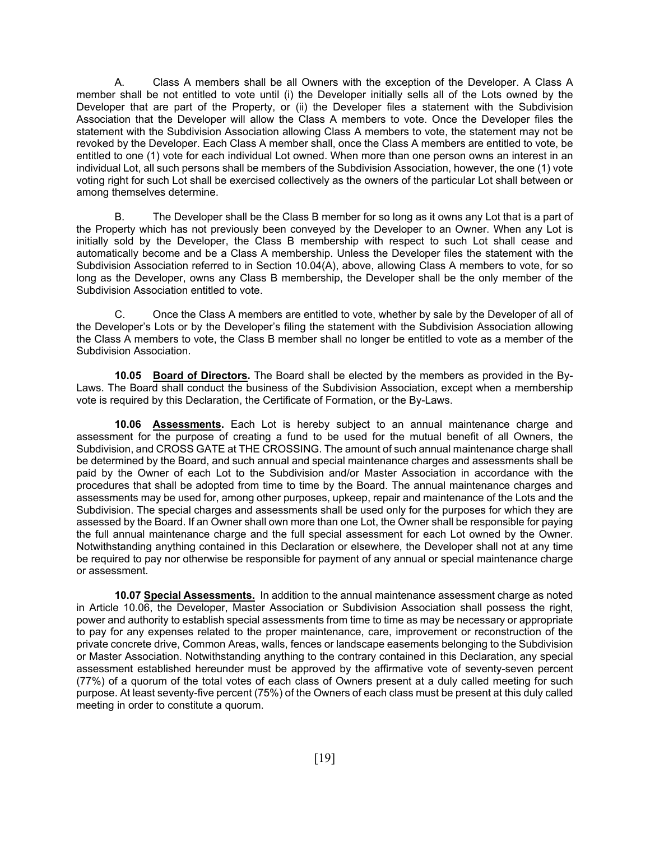A. Class A members shall be all Owners with the exception of the Developer. A Class A member shall be not entitled to vote until (i) the Developer initially sells all of the Lots owned by the Developer that are part of the Property, or (ii) the Developer files a statement with the Subdivision Association that the Developer will allow the Class A members to vote. Once the Developer files the statement with the Subdivision Association allowing Class A members to vote, the statement may not be revoked by the Developer. Each Class A member shall, once the Class A members are entitled to vote, be entitled to one (1) vote for each individual Lot owned. When more than one person owns an interest in an individual Lot, all such persons shall be members of the Subdivision Association, however, the one (1) vote voting right for such Lot shall be exercised collectively as the owners of the particular Lot shall between or among themselves determine.

 B. The Developer shall be the Class B member for so long as it owns any Lot that is a part of the Property which has not previously been conveyed by the Developer to an Owner. When any Lot is initially sold by the Developer, the Class B membership with respect to such Lot shall cease and automatically become and be a Class A membership. Unless the Developer files the statement with the Subdivision Association referred to in Section 10.04(A), above, allowing Class A members to vote, for so long as the Developer, owns any Class B membership, the Developer shall be the only member of the Subdivision Association entitled to vote.

 C. Once the Class A members are entitled to vote, whether by sale by the Developer of all of the Developer's Lots or by the Developer's filing the statement with the Subdivision Association allowing the Class A members to vote, the Class B member shall no longer be entitled to vote as a member of the Subdivision Association.

**10.05 Board of Directors.** The Board shall be elected by the members as provided in the By-Laws. The Board shall conduct the business of the Subdivision Association, except when a membership vote is required by this Declaration, the Certificate of Formation, or the By-Laws.

**10.06 Assessments.** Each Lot is hereby subject to an annual maintenance charge and assessment for the purpose of creating a fund to be used for the mutual benefit of all Owners, the Subdivision, and CROSS GATE at THE CROSSING. The amount of such annual maintenance charge shall be determined by the Board, and such annual and special maintenance charges and assessments shall be paid by the Owner of each Lot to the Subdivision and/or Master Association in accordance with the procedures that shall be adopted from time to time by the Board. The annual maintenance charges and assessments may be used for, among other purposes, upkeep, repair and maintenance of the Lots and the Subdivision. The special charges and assessments shall be used only for the purposes for which they are assessed by the Board. If an Owner shall own more than one Lot, the Owner shall be responsible for paying the full annual maintenance charge and the full special assessment for each Lot owned by the Owner. Notwithstanding anything contained in this Declaration or elsewhere, the Developer shall not at any time be required to pay nor otherwise be responsible for payment of any annual or special maintenance charge or assessment.

**10.07 Special Assessments.** In addition to the annual maintenance assessment charge as noted in Article 10.06, the Developer, Master Association or Subdivision Association shall possess the right, power and authority to establish special assessments from time to time as may be necessary or appropriate to pay for any expenses related to the proper maintenance, care, improvement or reconstruction of the private concrete drive, Common Areas, walls, fences or landscape easements belonging to the Subdivision or Master Association. Notwithstanding anything to the contrary contained in this Declaration, any special assessment established hereunder must be approved by the affirmative vote of seventy-seven percent (77%) of a quorum of the total votes of each class of Owners present at a duly called meeting for such purpose. At least seventy-five percent (75%) of the Owners of each class must be present at this duly called meeting in order to constitute a quorum.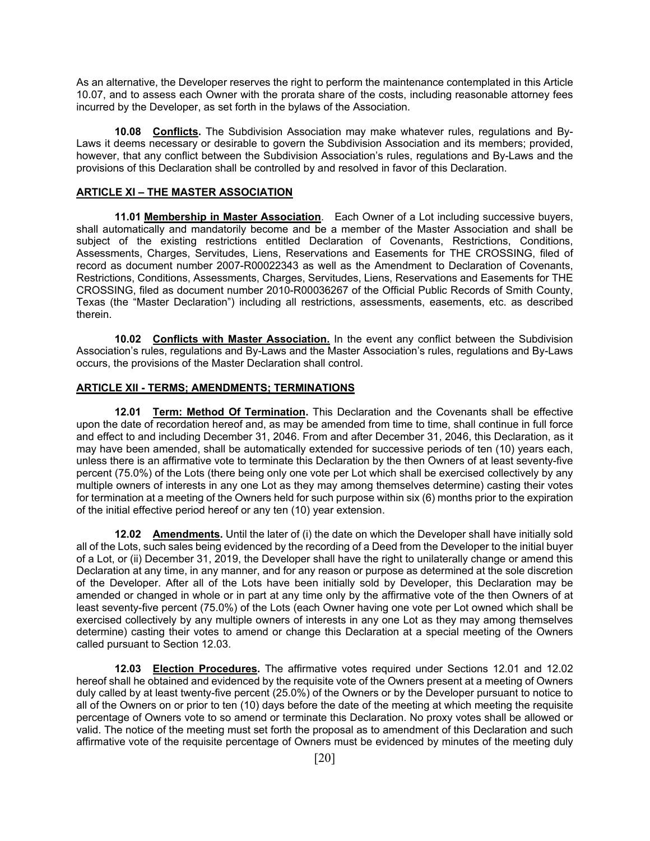As an alternative, the Developer reserves the right to perform the maintenance contemplated in this Article 10.07, and to assess each Owner with the prorata share of the costs, including reasonable attorney fees incurred by the Developer, as set forth in the bylaws of the Association.

**10.08 Conflicts.** The Subdivision Association may make whatever rules, regulations and By-Laws it deems necessary or desirable to govern the Subdivision Association and its members; provided, however, that any conflict between the Subdivision Association's rules, regulations and By-Laws and the provisions of this Declaration shall be controlled by and resolved in favor of this Declaration.

# **ARTICLE XI – THE MASTER ASSOCIATION**

**11.01 Membership in Master Association**. Each Owner of a Lot including successive buyers, shall automatically and mandatorily become and be a member of the Master Association and shall be subject of the existing restrictions entitled Declaration of Covenants, Restrictions, Conditions, Assessments, Charges, Servitudes, Liens, Reservations and Easements for THE CROSSING, filed of record as document number 2007-R00022343 as well as the Amendment to Declaration of Covenants, Restrictions, Conditions, Assessments, Charges, Servitudes, Liens, Reservations and Easements for THE CROSSING, filed as document number 2010-R00036267 of the Official Public Records of Smith County, Texas (the "Master Declaration") including all restrictions, assessments, easements, etc. as described therein.

**10.02 Conflicts with Master Association.** In the event any conflict between the Subdivision Association's rules, regulations and By-Laws and the Master Association's rules, regulations and By-Laws occurs, the provisions of the Master Declaration shall control.

## **ARTICLE XII - TERMS; AMENDMENTS; TERMINATIONS**

**12.01 Term: Method Of Termination.** This Declaration and the Covenants shall be effective upon the date of recordation hereof and, as may be amended from time to time, shall continue in full force and effect to and including December 31, 2046. From and after December 31, 2046, this Declaration, as it may have been amended, shall be automatically extended for successive periods of ten (10) years each, unless there is an affirmative vote to terminate this Declaration by the then Owners of at least seventy-five percent (75.0%) of the Lots (there being only one vote per Lot which shall be exercised collectively by any multiple owners of interests in any one Lot as they may among themselves determine) casting their votes for termination at a meeting of the Owners held for such purpose within six (6) months prior to the expiration of the initial effective period hereof or any ten (10) year extension.

**12.02 Amendments.** Until the later of (i) the date on which the Developer shall have initially sold all of the Lots, such sales being evidenced by the recording of a Deed from the Developer to the initial buyer of a Lot, or (ii) December 31, 2019, the Developer shall have the right to unilaterally change or amend this Declaration at any time, in any manner, and for any reason or purpose as determined at the sole discretion of the Developer. After all of the Lots have been initially sold by Developer, this Declaration may be amended or changed in whole or in part at any time only by the affirmative vote of the then Owners of at least seventy-five percent (75.0%) of the Lots (each Owner having one vote per Lot owned which shall be exercised collectively by any multiple owners of interests in any one Lot as they may among themselves determine) casting their votes to amend or change this Declaration at a special meeting of the Owners called pursuant to Section 12.03.

**12.03 Election Procedures.** The affirmative votes required under Sections 12.01 and 12.02 hereof shall he obtained and evidenced by the requisite vote of the Owners present at a meeting of Owners duly called by at least twenty-five percent (25.0%) of the Owners or by the Developer pursuant to notice to all of the Owners on or prior to ten (10) days before the date of the meeting at which meeting the requisite percentage of Owners vote to so amend or terminate this Declaration. No proxy votes shall be allowed or valid. The notice of the meeting must set forth the proposal as to amendment of this Declaration and such affirmative vote of the requisite percentage of Owners must be evidenced by minutes of the meeting duly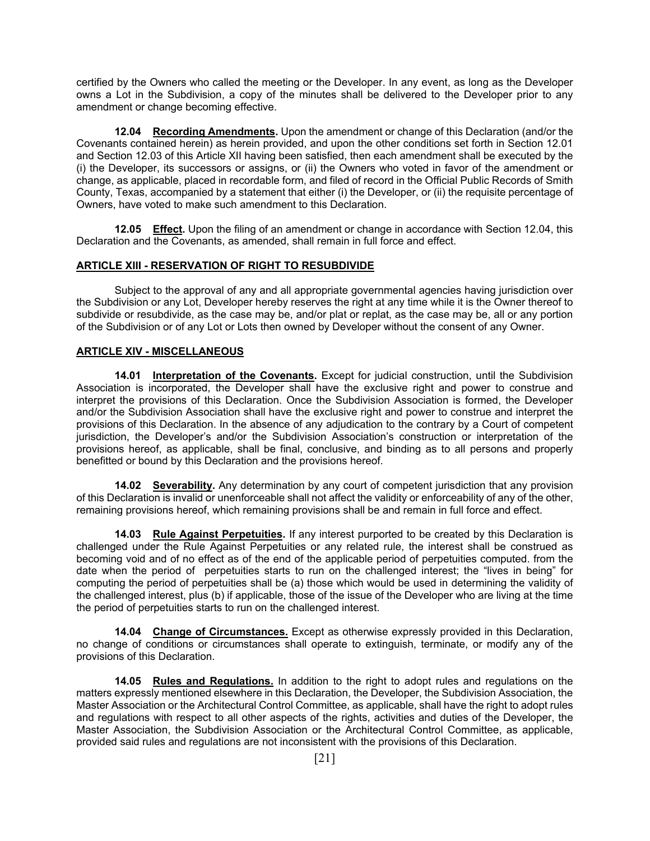certified by the Owners who called the meeting or the Developer. In any event, as long as the Developer owns a Lot in the Subdivision, a copy of the minutes shall be delivered to the Developer prior to any amendment or change becoming effective.

**12.04 Recording Amendments.** Upon the amendment or change of this Declaration (and/or the Covenants contained herein) as herein provided, and upon the other conditions set forth in Section 12.01 and Section 12.03 of this Article XII having been satisfied, then each amendment shall be executed by the (i) the Developer, its successors or assigns, or (ii) the Owners who voted in favor of the amendment or change, as applicable, placed in recordable form, and filed of record in the Official Public Records of Smith County, Texas, accompanied by a statement that either (i) the Developer, or (ii) the requisite percentage of Owners, have voted to make such amendment to this Declaration.

**12.05 Effect.** Upon the filing of an amendment or change in accordance with Section 12.04, this Declaration and the Covenants, as amended, shall remain in full force and effect.

### **ARTICLE XIII - RESERVATION OF RIGHT TO RESUBDIVIDE**

 Subject to the approval of any and all appropriate governmental agencies having jurisdiction over the Subdivision or any Lot, Developer hereby reserves the right at any time while it is the Owner thereof to subdivide or resubdivide, as the case may be, and/or plat or replat, as the case may be, all or any portion of the Subdivision or of any Lot or Lots then owned by Developer without the consent of any Owner.

#### **ARTICLE XIV - MISCELLANEOUS**

**14.01 Interpretation of the Covenants.** Except for judicial construction, until the Subdivision Association is incorporated, the Developer shall have the exclusive right and power to construe and interpret the provisions of this Declaration. Once the Subdivision Association is formed, the Developer and/or the Subdivision Association shall have the exclusive right and power to construe and interpret the provisions of this Declaration. In the absence of any adjudication to the contrary by a Court of competent jurisdiction, the Developer's and/or the Subdivision Association's construction or interpretation of the provisions hereof, as applicable, shall be final, conclusive, and binding as to all persons and properly benefitted or bound by this Declaration and the provisions hereof.

**14.02** Severability. Any determination by any court of competent jurisdiction that any provision of this Declaration is invalid or unenforceable shall not affect the validity or enforceability of any of the other, remaining provisions hereof, which remaining provisions shall be and remain in full force and effect.

**14.03 Rule Against Perpetuities.** If any interest purported to be created by this Declaration is challenged under the Rule Against Perpetuities or any related rule, the interest shall be construed as becoming void and of no effect as of the end of the applicable period of perpetuities computed. from the date when the period of perpetuities starts to run on the challenged interest; the "lives in being" for computing the period of perpetuities shall be (a) those which would be used in determining the validity of the challenged interest, plus (b) if applicable, those of the issue of the Developer who are living at the time the period of perpetuities starts to run on the challenged interest.

**14.04 Change of Circumstances.** Except as otherwise expressly provided in this Declaration, no change of conditions or circumstances shall operate to extinguish, terminate, or modify any of the provisions of this Declaration.

**14.05 Rules and Regulations.** In addition to the right to adopt rules and regulations on the matters expressly mentioned elsewhere in this Declaration, the Developer, the Subdivision Association, the Master Association or the Architectural Control Committee, as applicable, shall have the right to adopt rules and regulations with respect to all other aspects of the rights, activities and duties of the Developer, the Master Association, the Subdivision Association or the Architectural Control Committee, as applicable, provided said rules and regulations are not inconsistent with the provisions of this Declaration.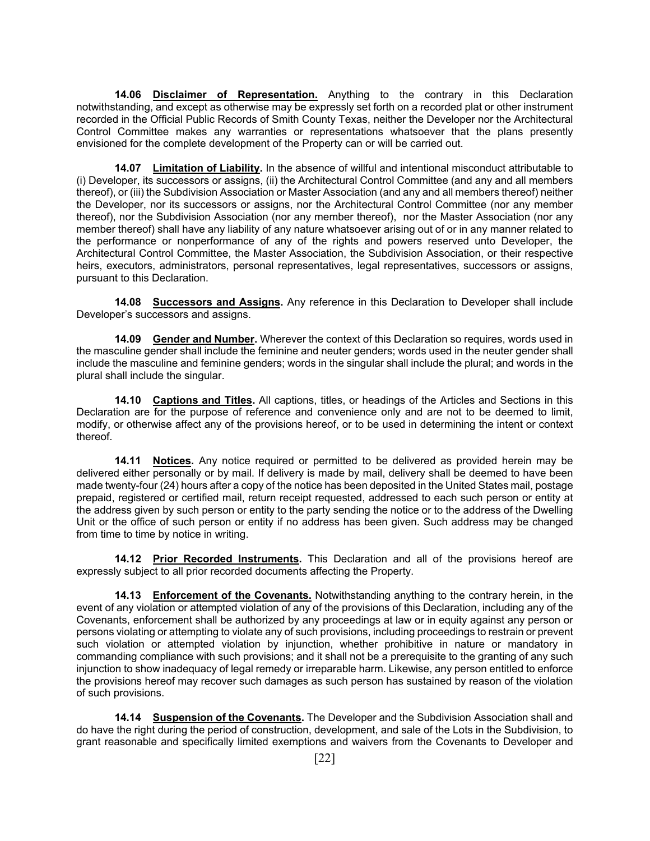**14.06 Disclaimer of Representation.** Anything to the contrary in this Declaration notwithstanding, and except as otherwise may be expressly set forth on a recorded plat or other instrument recorded in the Official Public Records of Smith County Texas, neither the Developer nor the Architectural Control Committee makes any warranties or representations whatsoever that the plans presently envisioned for the complete development of the Property can or will be carried out.

**14.07 Limitation of Liability.** In the absence of willful and intentional misconduct attributable to (i) Developer, its successors or assigns, (ii) the Architectural Control Committee (and any and all members thereof), or (iii) the Subdivision Association or Master Association (and any and all members thereof) neither the Developer, nor its successors or assigns, nor the Architectural Control Committee (nor any member thereof), nor the Subdivision Association (nor any member thereof), nor the Master Association (nor any member thereof) shall have any liability of any nature whatsoever arising out of or in any manner related to the performance or nonperformance of any of the rights and powers reserved unto Developer, the Architectural Control Committee, the Master Association, the Subdivision Association, or their respective heirs, executors, administrators, personal representatives, legal representatives, successors or assigns, pursuant to this Declaration.

**14.08 Successors and Assigns.** Any reference in this Declaration to Developer shall include Developer's successors and assigns.

**14.09 Gender and Number.** Wherever the context of this Declaration so requires, words used in the masculine gender shall include the feminine and neuter genders; words used in the neuter gender shall include the masculine and feminine genders; words in the singular shall include the plural; and words in the plural shall include the singular.

**14.10 Captions and Titles.** All captions, titles, or headings of the Articles and Sections in this Declaration are for the purpose of reference and convenience only and are not to be deemed to limit, modify, or otherwise affect any of the provisions hereof, or to be used in determining the intent or context thereof.

**14.11 Notices.** Any notice required or permitted to be delivered as provided herein may be delivered either personally or by mail. If delivery is made by mail, delivery shall be deemed to have been made twenty-four (24) hours after a copy of the notice has been deposited in the United States mail, postage prepaid, registered or certified mail, return receipt requested, addressed to each such person or entity at the address given by such person or entity to the party sending the notice or to the address of the Dwelling Unit or the office of such person or entity if no address has been given. Such address may be changed from time to time by notice in writing.

**14.12 Prior Recorded Instruments.** This Declaration and all of the provisions hereof are expressly subject to all prior recorded documents affecting the Property.

**14.13 Enforcement of the Covenants.** Notwithstanding anything to the contrary herein, in the event of any violation or attempted violation of any of the provisions of this Declaration, including any of the Covenants, enforcement shall be authorized by any proceedings at law or in equity against any person or persons violating or attempting to violate any of such provisions, including proceedings to restrain or prevent such violation or attempted violation by injunction, whether prohibitive in nature or mandatory in commanding compliance with such provisions; and it shall not be a prerequisite to the granting of any such injunction to show inadequacy of legal remedy or irreparable harm. Likewise, any person entitled to enforce the provisions hereof may recover such damages as such person has sustained by reason of the violation of such provisions.

**14.14 Suspension of the Covenants.** The Developer and the Subdivision Association shall and do have the right during the period of construction, development, and sale of the Lots in the Subdivision, to grant reasonable and specifically limited exemptions and waivers from the Covenants to Developer and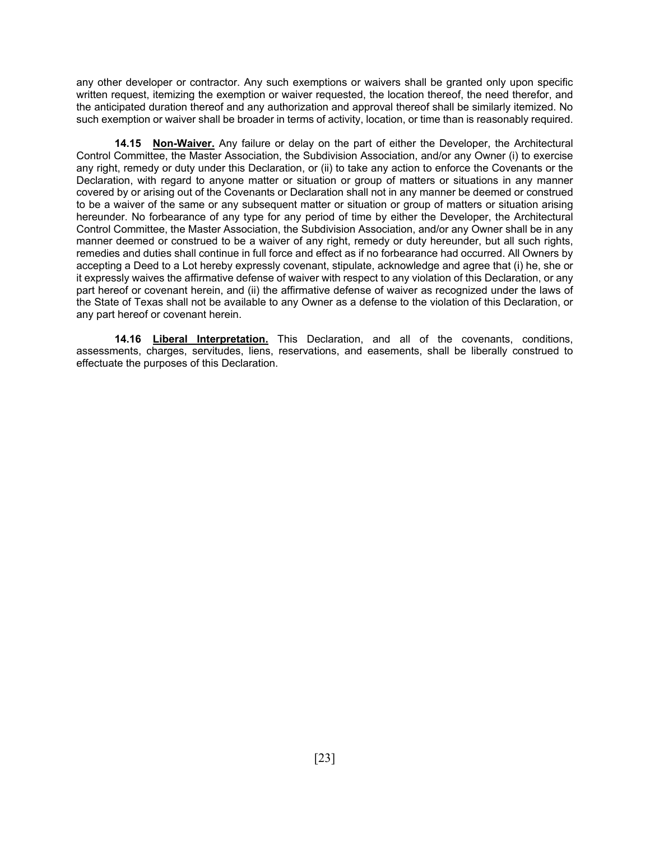any other developer or contractor. Any such exemptions or waivers shall be granted only upon specific written request, itemizing the exemption or waiver requested, the location thereof, the need therefor, and the anticipated duration thereof and any authorization and approval thereof shall be similarly itemized. No such exemption or waiver shall be broader in terms of activity, location, or time than is reasonably required.

**14.15 Non-Waiver.** Any failure or delay on the part of either the Developer, the Architectural Control Committee, the Master Association, the Subdivision Association, and/or any Owner (i) to exercise any right, remedy or duty under this Declaration, or (ii) to take any action to enforce the Covenants or the Declaration, with regard to anyone matter or situation or group of matters or situations in any manner covered by or arising out of the Covenants or Declaration shall not in any manner be deemed or construed to be a waiver of the same or any subsequent matter or situation or group of matters or situation arising hereunder. No forbearance of any type for any period of time by either the Developer, the Architectural Control Committee, the Master Association, the Subdivision Association, and/or any Owner shall be in any manner deemed or construed to be a waiver of any right, remedy or duty hereunder, but all such rights, remedies and duties shall continue in full force and effect as if no forbearance had occurred. All Owners by accepting a Deed to a Lot hereby expressly covenant, stipulate, acknowledge and agree that (i) he, she or it expressly waives the affirmative defense of waiver with respect to any violation of this Declaration, or any part hereof or covenant herein, and (ii) the affirmative defense of waiver as recognized under the laws of the State of Texas shall not be available to any Owner as a defense to the violation of this Declaration, or any part hereof or covenant herein.

**14.16 Liberal Interpretation.** This Declaration, and all of the covenants, conditions, assessments, charges, servitudes, liens, reservations, and easements, shall be liberally construed to effectuate the purposes of this Declaration.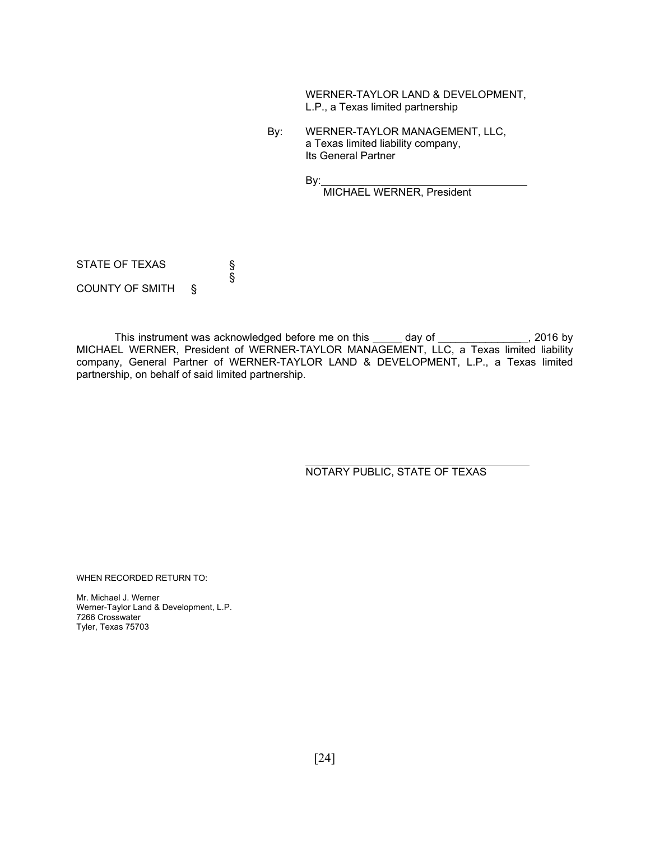WERNER-TAYLOR LAND & DEVELOPMENT, L.P., a Texas limited partnership

 By: WERNER-TAYLOR MANAGEMENT, LLC, a Texas limited liability company, Its General Partner

By:

MICHAEL WERNER, President

STATE OF TEXAS<br>§ § COUNTY OF SMITH §

This instrument was acknowledged before me on this \_\_\_\_\_ day of \_\_\_\_\_\_\_\_\_\_\_\_\_\_\_, 2016 by MICHAEL WERNER, President of WERNER-TAYLOR MANAGEMENT, LLC, a Texas limited liability company, General Partner of WERNER-TAYLOR LAND & DEVELOPMENT, L.P., a Texas limited partnership, on behalf of said limited partnership.

NOTARY PUBLIC, STATE OF TEXAS

WHEN RECORDED RETURN TO:

Mr. Michael J. Werner Werner-Taylor Land & Development, L.P. 7266 Crosswater Tyler, Texas 75703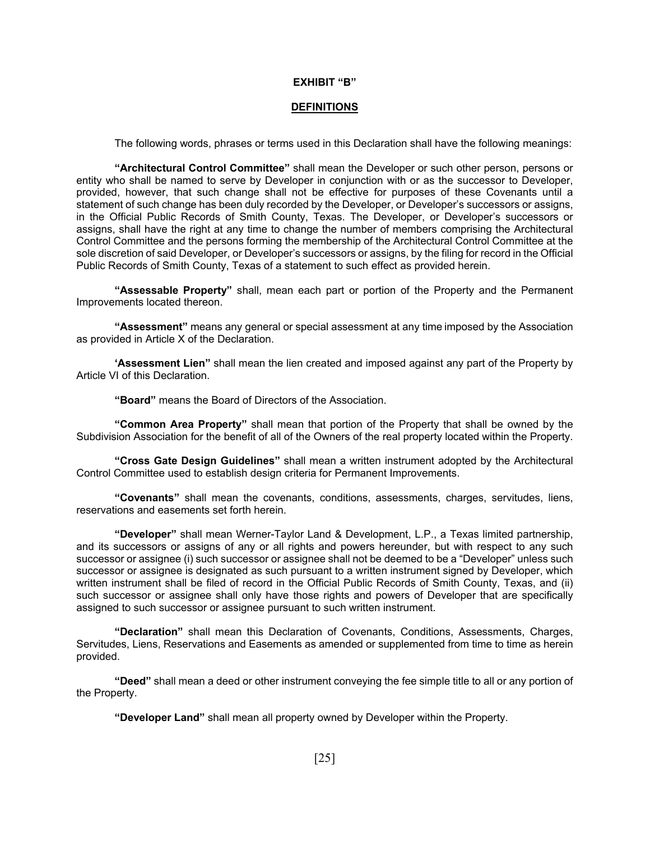#### **EXHIBIT "B"**

#### **DEFINITIONS**

The following words, phrases or terms used in this Declaration shall have the following meanings:

**"Architectural Control Committee"** shall mean the Developer or such other person, persons or entity who shall be named to serve by Developer in conjunction with or as the successor to Developer, provided, however, that such change shall not be effective for purposes of these Covenants until a statement of such change has been duly recorded by the Developer, or Developer's successors or assigns, in the Official Public Records of Smith County, Texas. The Developer, or Developer's successors or assigns, shall have the right at any time to change the number of members comprising the Architectural Control Committee and the persons forming the membership of the Architectural Control Committee at the sole discretion of said Developer, or Developer's successors or assigns, by the filing for record in the Official Public Records of Smith County, Texas of a statement to such effect as provided herein.

**"Assessable Property"** shall, mean each part or portion of the Property and the Permanent Improvements located thereon.

**"Assessment"** means any general or special assessment at any time imposed by the Association as provided in Article X of the Declaration.

**'Assessment Lien"** shall mean the lien created and imposed against any part of the Property by Article VI of this Declaration.

**"Board"** means the Board of Directors of the Association.

**"Common Area Property"** shall mean that portion of the Property that shall be owned by the Subdivision Association for the benefit of all of the Owners of the real property located within the Property.

**"Cross Gate Design Guidelines"** shall mean a written instrument adopted by the Architectural Control Committee used to establish design criteria for Permanent Improvements.

**"Covenants"** shall mean the covenants, conditions, assessments, charges, servitudes, liens, reservations and easements set forth herein.

**"Developer"** shall mean Werner-Taylor Land & Development, L.P., a Texas limited partnership, and its successors or assigns of any or all rights and powers hereunder, but with respect to any such successor or assignee (i) such successor or assignee shall not be deemed to be a "Developer" unless such successor or assignee is designated as such pursuant to a written instrument signed by Developer, which written instrument shall be filed of record in the Official Public Records of Smith County, Texas, and (ii) such successor or assignee shall only have those rights and powers of Developer that are specifically assigned to such successor or assignee pursuant to such written instrument.

**"Declaration"** shall mean this Declaration of Covenants, Conditions, Assessments, Charges, Servitudes, Liens, Reservations and Easements as amended or supplemented from time to time as herein provided.

**"Deed"** shall mean a deed or other instrument conveying the fee simple title to all or any portion of the Property.

 **"Developer Land"** shall mean all property owned by Developer within the Property.